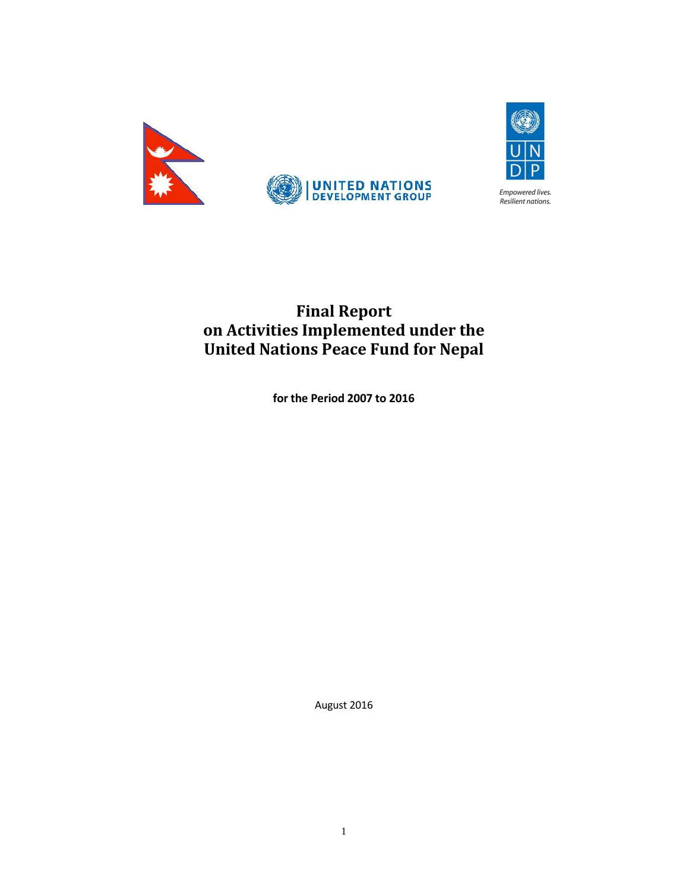



**Final Report on Activities Implemented under the United Nations Peace Fund for Nepal**

**for the Period 2007 to 2016**

August 2016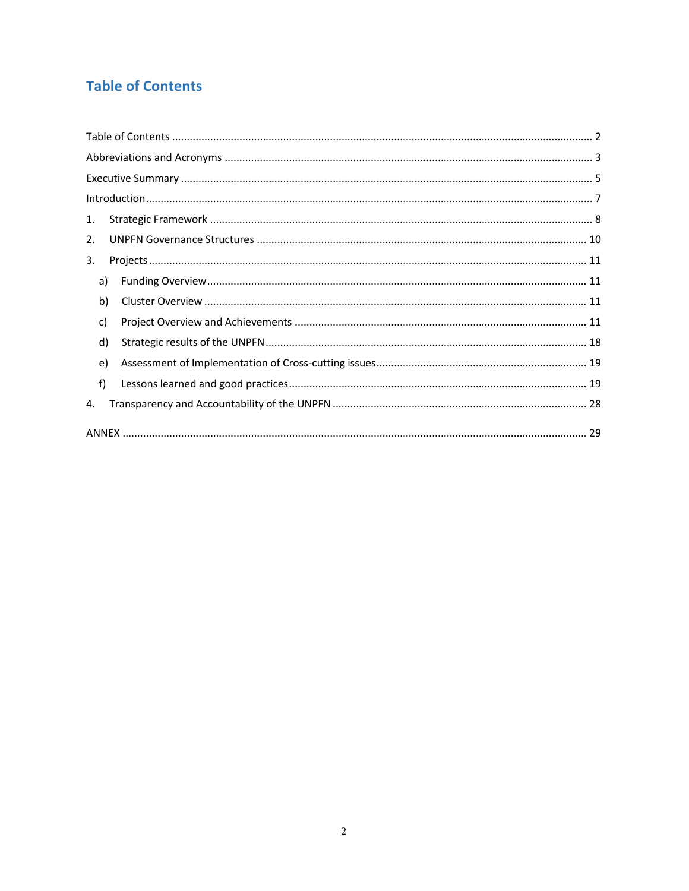# **Table of Contents**

| 1. |    |  |
|----|----|--|
| 2. |    |  |
| 3. |    |  |
|    | a) |  |
|    | b) |  |
|    | c) |  |
|    | d) |  |
|    | e) |  |
|    | f) |  |
| 4. |    |  |
|    |    |  |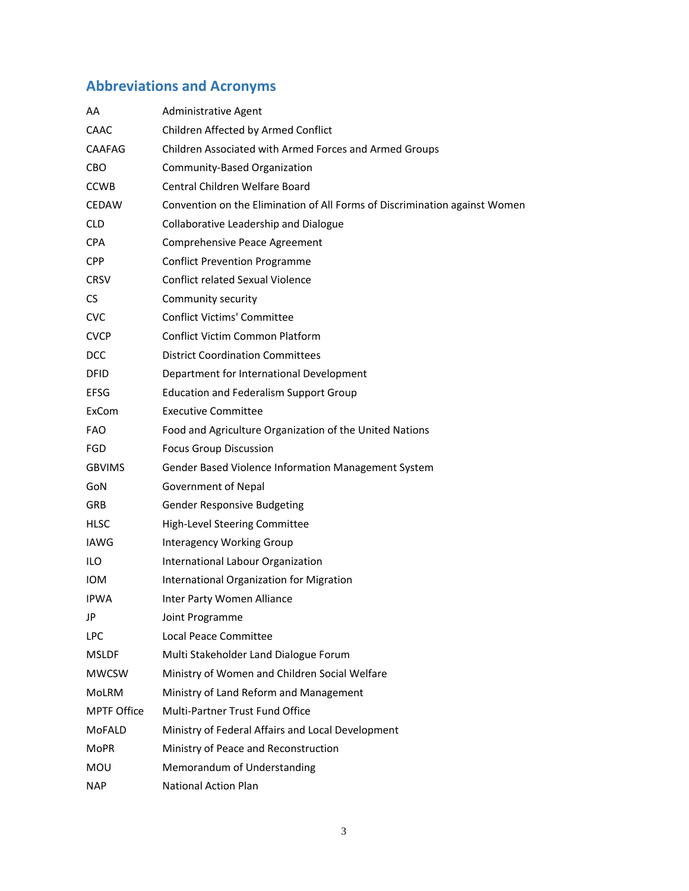# **Abbreviations and Acronyms**

| AA                 | Administrative Agent                                                       |
|--------------------|----------------------------------------------------------------------------|
| CAAC               | Children Affected by Armed Conflict                                        |
| <b>CAAFAG</b>      | Children Associated with Armed Forces and Armed Groups                     |
| <b>CBO</b>         | Community-Based Organization                                               |
| <b>CCWB</b>        | Central Children Welfare Board                                             |
| <b>CEDAW</b>       | Convention on the Elimination of All Forms of Discrimination against Women |
| <b>CLD</b>         | Collaborative Leadership and Dialogue                                      |
| <b>CPA</b>         | Comprehensive Peace Agreement                                              |
| <b>CPP</b>         | <b>Conflict Prevention Programme</b>                                       |
| <b>CRSV</b>        | <b>Conflict related Sexual Violence</b>                                    |
| <b>CS</b>          | Community security                                                         |
| <b>CVC</b>         | <b>Conflict Victims' Committee</b>                                         |
| <b>CVCP</b>        | <b>Conflict Victim Common Platform</b>                                     |
| <b>DCC</b>         | <b>District Coordination Committees</b>                                    |
| <b>DFID</b>        | Department for International Development                                   |
| <b>EFSG</b>        | <b>Education and Federalism Support Group</b>                              |
| ExCom              | <b>Executive Committee</b>                                                 |
| <b>FAO</b>         | Food and Agriculture Organization of the United Nations                    |
| <b>FGD</b>         | <b>Focus Group Discussion</b>                                              |
| <b>GBVIMS</b>      | Gender Based Violence Information Management System                        |
| GoN                | <b>Government of Nepal</b>                                                 |
| <b>GRB</b>         | <b>Gender Responsive Budgeting</b>                                         |
| HLSC               | High-Level Steering Committee                                              |
| <b>IAWG</b>        | <b>Interagency Working Group</b>                                           |
| ILO                | International Labour Organization                                          |
| <b>IOM</b>         | International Organization for Migration                                   |
| <b>IPWA</b>        | Inter Party Women Alliance                                                 |
| JP                 | Joint Programme                                                            |
| <b>LPC</b>         | Local Peace Committee                                                      |
| <b>MSLDF</b>       | Multi Stakeholder Land Dialogue Forum                                      |
| <b>MWCSW</b>       | Ministry of Women and Children Social Welfare                              |
| <b>MoLRM</b>       | Ministry of Land Reform and Management                                     |
| <b>MPTF Office</b> | Multi-Partner Trust Fund Office                                            |
| MoFALD             | Ministry of Federal Affairs and Local Development                          |
| <b>MoPR</b>        | Ministry of Peace and Reconstruction                                       |
| MOU                | Memorandum of Understanding                                                |
| <b>NAP</b>         | <b>National Action Plan</b>                                                |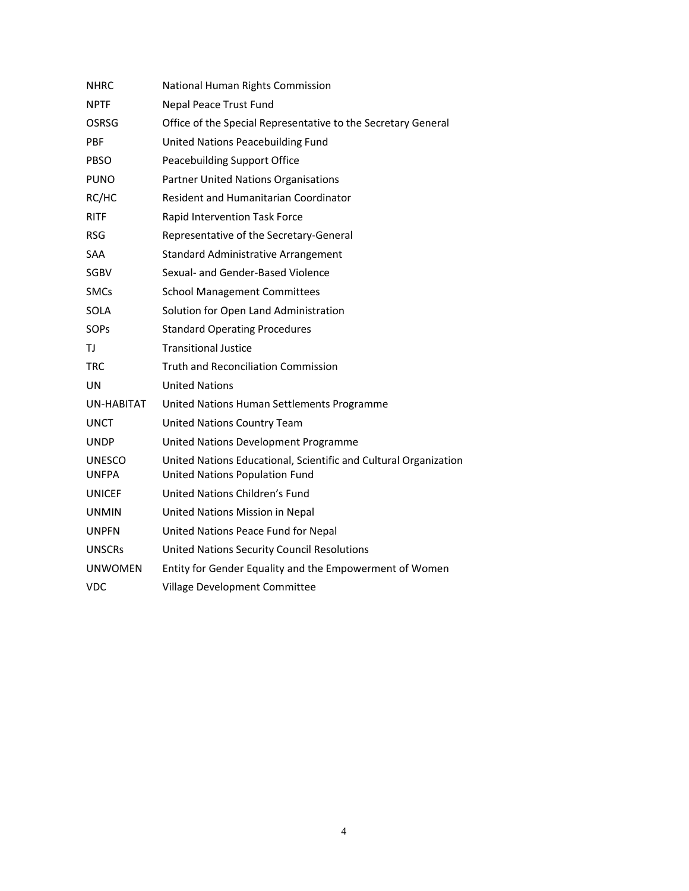| NHRC                          | National Human Rights Commission                                                                   |
|-------------------------------|----------------------------------------------------------------------------------------------------|
| <b>NPTF</b>                   | Nepal Peace Trust Fund                                                                             |
| OSRSG                         | Office of the Special Representative to the Secretary General                                      |
| <b>PBF</b>                    | United Nations Peacebuilding Fund                                                                  |
| PBSO                          | Peacebuilding Support Office                                                                       |
| <b>PUNO</b>                   | <b>Partner United Nations Organisations</b>                                                        |
| RC/HC                         | Resident and Humanitarian Coordinator                                                              |
| <b>RITF</b>                   | Rapid Intervention Task Force                                                                      |
| <b>RSG</b>                    | Representative of the Secretary-General                                                            |
| <b>SAA</b>                    | <b>Standard Administrative Arrangement</b>                                                         |
| <b>SGBV</b>                   | Sexual- and Gender-Based Violence                                                                  |
| <b>SMCs</b>                   | <b>School Management Committees</b>                                                                |
| SOLA                          | Solution for Open Land Administration                                                              |
| <b>SOPs</b>                   | <b>Standard Operating Procedures</b>                                                               |
| ТJ                            | <b>Transitional Justice</b>                                                                        |
| <b>TRC</b>                    | <b>Truth and Reconciliation Commission</b>                                                         |
| UN                            | <b>United Nations</b>                                                                              |
| UN-HABITAT                    | United Nations Human Settlements Programme                                                         |
| UNCT                          | United Nations Country Team                                                                        |
| <b>UNDP</b>                   | United Nations Development Programme                                                               |
| <b>UNESCO</b><br><b>UNFPA</b> | United Nations Educational, Scientific and Cultural Organization<br>United Nations Population Fund |
| <b>UNICEF</b>                 | United Nations Children's Fund                                                                     |
| <b>UNMIN</b>                  | United Nations Mission in Nepal                                                                    |
| <b>UNPFN</b>                  | United Nations Peace Fund for Nepal                                                                |
| <b>UNSCRs</b>                 | <b>United Nations Security Council Resolutions</b>                                                 |
| <b>UNWOMEN</b>                | Entity for Gender Equality and the Empowerment of Women                                            |
| <b>VDC</b>                    | Village Development Committee                                                                      |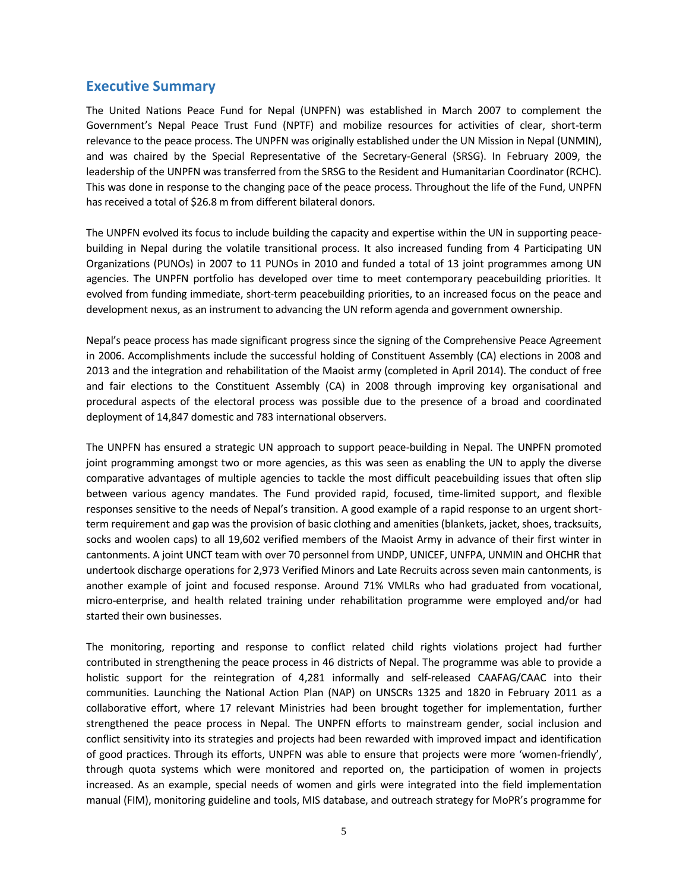# **Executive Summary**

The United Nations Peace Fund for Nepal (UNPFN) was established in March 2007 to complement the Government's Nepal Peace Trust Fund (NPTF) and mobilize resources for activities of clear, short-term relevance to the peace process. The UNPFN was originally established under the UN Mission in Nepal (UNMIN), and was chaired by the Special Representative of the Secretary-General (SRSG). In February 2009, the leadership of the UNPFN was transferred from the SRSG to the Resident and Humanitarian Coordinator (RCHC). This was done in response to the changing pace of the peace process. Throughout the life of the Fund, UNPFN has received a total of \$26.8 m from different bilateral donors.

The UNPFN evolved its focus to include building the capacity and expertise within the UN insupporting peace building in Nepal during the volatile transitional process. It also increased funding from 4 Participating UN Organizations (PUNOs) in 2007 to 11 PUNOs in 2010 and funded a total of 13 joint programmes among UN agencies. The UNPFN portfolio has developed over time to meet contemporary peacebuilding priorities. It evolved from funding immediate, short-term peacebuilding priorities, to an increased focus on the peace and development nexus, as an instrument to advancing the UN reform agenda and government ownership.

Nepal's peace process has made significant progress since the signing of the Comprehensive Peace Agreement in 2006. Accomplishments include the successful holding of Constituent Assembly (CA) elections in 2008 and 2013 and the integration and rehabilitation of the Maoist army (completed in April 2014). The conduct of free and fair elections to the Constituent Assembly (CA) in 2008 through improving key organisational and procedural aspects of the electoral process was possible due to the presence of a broad and coordinated deployment of 14,847 domestic and 783 international observers.

The UNPFN has ensured a strategic UN approach to support peace-building in Nepal. The UNPFN promoted joint programming amongst two or more agencies, as this was seen as enabling the UN to apply the diverse comparative advantages of multiple agencies to tackle the most difficult peacebuilding issues that often slip between various agency mandates. The Fund provided rapid, focused, time-limited support, and flexible responses sensitive to the needs of Nepal's transition. A good example of a rapid response to an urgent short term requirement and gap was the provision of basic clothing and amenities (blankets, jacket, shoes, tracksuits, socks and woolen caps) to all 19,602 verified members of the Maoist Army in advance of their first winter in cantonments. A joint UNCT team with over 70 personnel from UNDP, UNICEF, UNFPA, UNMIN and OHCHR that undertook discharge operations for 2,973 Verified Minors and Late Recruits across seven main cantonments, is another example of joint and focused response. Around 71% VMLRs who had graduated from vocational, micro-enterprise, and health related training under rehabilitation programme were employed and/or had started their own businesses.

The monitoring, reporting and response to conflict related child rights violations project had further contributed in strengthening the peace process in 46 districts of Nepal. The programme was able to provide a holistic support for the reintegration of 4,281 informally and self-released CAAFAG/CAAC into their communities. Launching the National Action Plan (NAP) on UNSCRs 1325 and 1820 in February 2011 as a collaborative effort, where 17 relevant Ministries had been brought together for implementation, further strengthened the peace process in Nepal. The UNPFN efforts to mainstream gender, social inclusion and conflict sensitivity into its strategies and projects had been rewarded with improved impact and identification of good practices. Through its efforts, UNPFN was able to ensure that projects were more 'women-friendly', through quota systems which were monitored and reported on, the participation of women in projects increased. As an example, special needs of women and girls were integrated into the field implementation manual (FIM), monitoring guideline and tools, MIS database, and outreach strategy for MoPR's programme for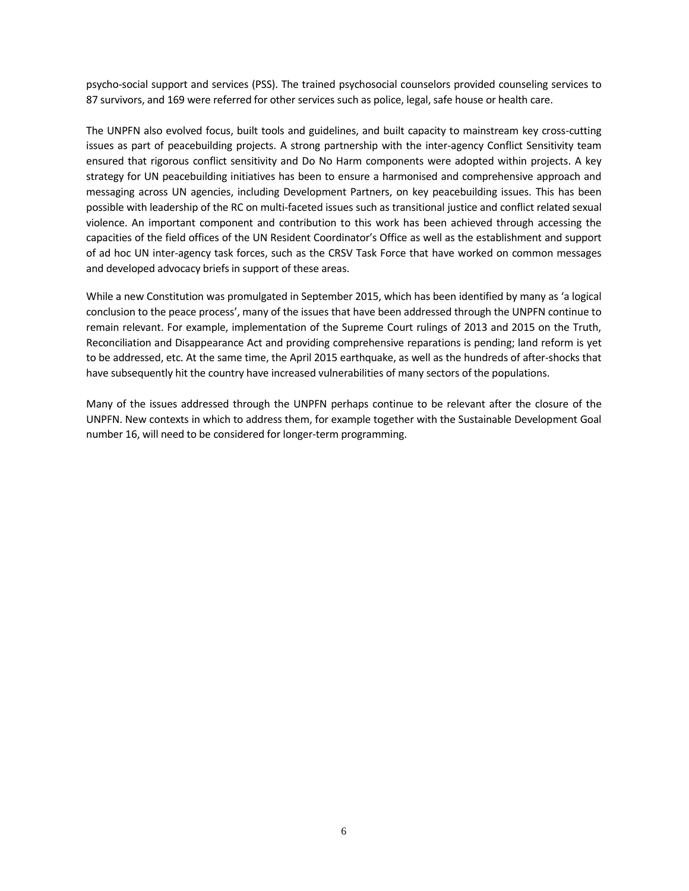psycho-social support and services (PSS). The trained psychosocial counselors provided counseling services to 87 survivors, and 169 were referred for other services such as police, legal, safe house or health care.

The UNPFN also evolved focus, built tools and guidelines, and built capacity to mainstream key cross-cutting issues as part of peacebuilding projects. A strong partnership with the inter-agency Conflict Sensitivity team ensured that rigorous conflict sensitivity and Do No Harm components were adopted within projects. A key strategy for UN peacebuilding initiatives has been to ensure a harmonised and comprehensive approach and messaging across UN agencies, including Development Partners, on key peacebuilding issues. This has been possible with leadership of the RC on multi-faceted issues such as transitional justice and conflict related sexual violence. An important component and contribution to this work has been achieved through accessing the capacities of the field offices of the UN Resident Coordinator's Office as well as the establishment and support of ad hoc UN inter-agency task forces, such as the CRSV Task Force that have worked on common messages and developed advocacy briefs in support of these areas.

While a new Constitution was promulgated in September 2015, which has been identified by many as 'a logical conclusion to the peace process', many of the issues that have been addressed through the UNPFN continue to remain relevant. For example, implementation of the Supreme Court rulings of 2013 and 2015 on the Truth, Reconciliation and Disappearance Act and providing comprehensive reparations is pending; land reform is yet to be addressed, etc. At the same time, the April 2015 earthquake, as well as the hundreds of after-shocks that have subsequently hit the country have increased vulnerabilities of many sectors of the populations.

Many of the issues addressed through the UNPFN perhaps continue to be relevant after the closure of the UNPFN. New contexts in which to address them, for example together with the Sustainable Development Goal number 16, will need to be considered for longer-term programming.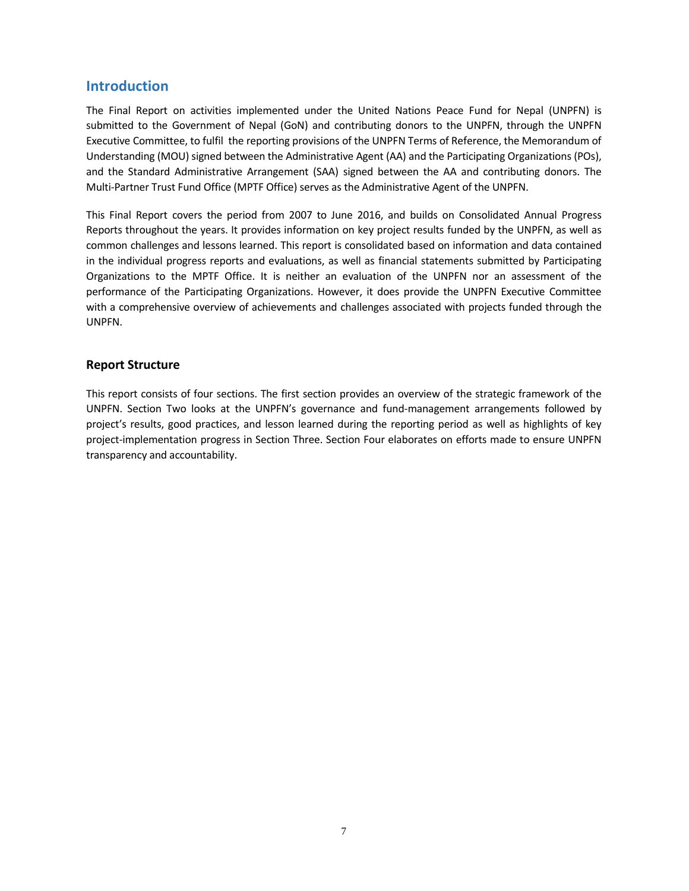# **Introduction**

The Final Report on activities implemented under the United Nations Peace Fund for Nepal (UNPFN) is submitted to the Government of Nepal (GoN) and contributing donors to the UNPFN, through the UNPFN Executive Committee, to fulfil the reporting provisions of the UNPFN Terms of Reference, the Memorandum of Understanding (MOU) signed between the Administrative Agent (AA) and the Participating Organizations (POs), and the Standard Administrative Arrangement (SAA) signed between the AA and contributing donors. The Multi-Partner Trust Fund Office (MPTF Office) serves as the Administrative Agent of the UNPFN.

This Final Report covers the period from 2007 to June 2016, and builds on Consolidated Annual Progress Reports throughout the years. It provides information on key project results funded by the UNPFN, as well as common challenges and lessons learned. This report is consolidated based on information and data contained in the individual progress reports and evaluations, as well as financial statements submitted by Participating Organizations to the MPTF Office. It is neither an evaluation of the UNPFN nor an assessment of the performance of the Participating Organizations. However, it does provide the UNPFN Executive Committee with a comprehensive overview of achievements and challenges associated with projects funded through the UNPFN.

### **Report Structure**

This report consists of four sections. The first section provides an overview of the strategic framework of the UNPFN. Section Two looks at the UNPFN's governance and fund-management arrangements followed by project's results, good practices, and lesson learned during the reporting period as well as highlights of key project-implementation progress in Section Three. Section Four elaborates on efforts made to ensure UNPFN transparency and accountability.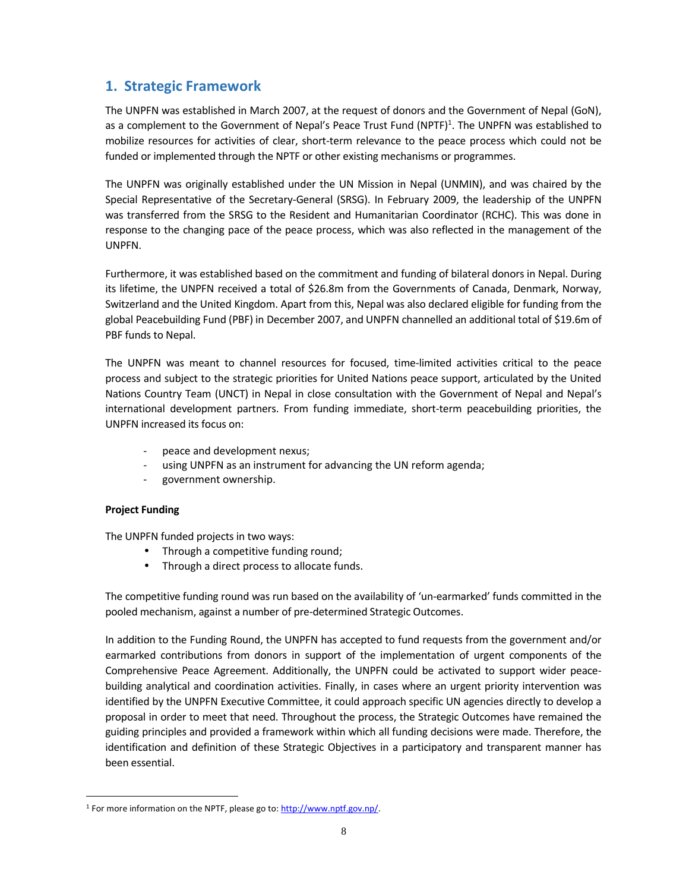# **1. Strategic Framework**

The UNPFN was established in March 2007, at the request of donors and the Government of Nepal (GoN), as a complement to the Government of Nepal's Peace Trust Fund (NPTF)<sup>1</sup>. The UNPFN was established to mobilize resources for activities of clear, short-term relevance to the peace process which could not be funded or implemented through the NPTF or other existing mechanisms or programmes.

The UNPFN was originally established under the UN Mission in Nepal (UNMIN), and was chaired by the Special Representative of the Secretary-General (SRSG). In February 2009, the leadership of the UNPFN was transferred from the SRSG to the Resident and Humanitarian Coordinator (RCHC). This was done in response to the changing pace of the peace process, which was also reflected in the management of the UNPFN.

Furthermore, it was established based on the commitment and funding of bilateral donors in Nepal. During its lifetime, the UNPFN received a total of \$26.8m from the Governments of Canada, Denmark, Norway, Switzerland and the United Kingdom. Apart from this, Nepal was also declared eligible for funding from the global Peacebuilding Fund (PBF) in December 2007, and UNPFN channelled an additional total of \$19.6m of PBF funds to Nepal.

The UNPFN was meant to channel resources for focused, time-limited activities critical to the peace process and subject to the strategic priorities for United Nations peace support, articulated by the United Nations Country Team (UNCT) in Nepal in close consultation with the Government of Nepal and Nepal's international development partners. From funding immediate, short-term peacebuilding priorities, the UNPFN increased its focus on:

- peace and development nexus;
- using UNPFN as an instrument for advancing the UN reform agenda;
- government ownership.

### **Project Funding**

The UNPFN funded projects in two ways:

- Through a competitive funding round;
- Through a direct process to allocate funds.

The competitive funding round was run based on the availability of 'un-earmarked' funds committed in the pooled mechanism, against a number of pre-determined Strategic Outcomes.

In addition to the Funding Round, the UNPFN has accepted to fund requests from the government and/or earmarked contributions from donors in support of the implementation of urgent components of the Comprehensive Peace Agreement. Additionally, the UNPFN could be activated to support wider peace building analytical and coordination activities. Finally, in cases where an urgent priority intervention was identified by the UNPFN Executive Committee, it could approach specific UN agencies directly to develop a proposal in order to meet that need. Throughout the process, the Strategic Outcomes have remained the guiding principles and provided a framework within which all funding decisions were made. Therefore, the identification and definition of these Strategic Objectives in a participatory and transparent manner has been essential.

<sup>&</sup>lt;sup>1</sup> For more information on the NPTF, please go to: http://www.nptf.gov.np/.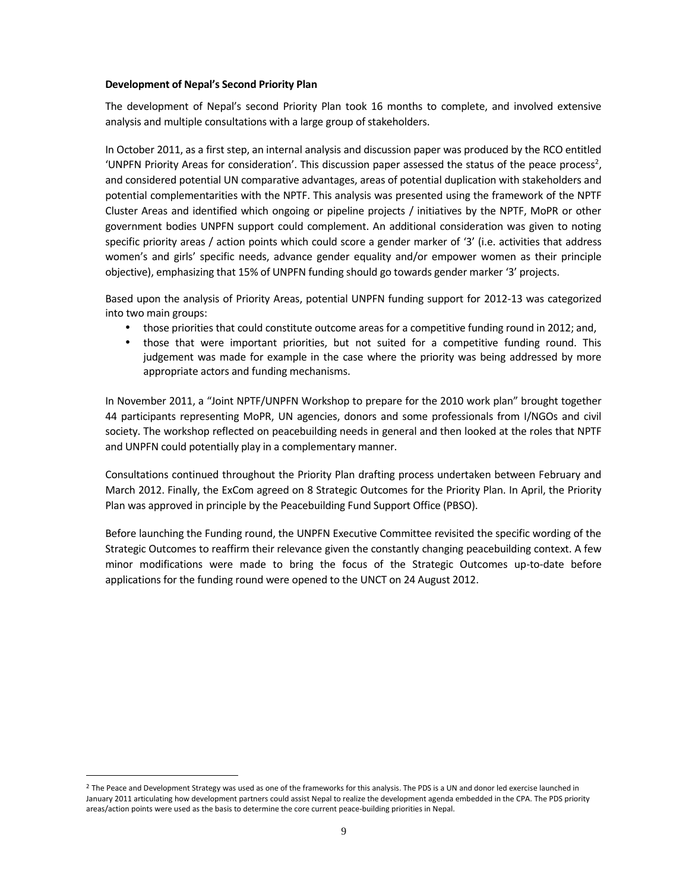#### **Development of Nepal's Second Priority Plan**

The development of Nepal's second Priority Plan took 16 months to complete, and involved extensive analysis and multiple consultations with a large group of stakeholders.

In October 2011, as a first step, an internal analysis and discussion paper was produced by the RCO entitled 'UNPFN Priority Areas for consideration'. This discussion paper assessed the status of the peace process<sup>2</sup>, and considered potential UN comparative advantages, areas of potential duplication with stakeholders and potential complementarities with the NPTF. This analysis was presented using the framework of the NPTF Cluster Areas and identified which ongoing or pipeline projects / initiatives by the NPTF, MoPR or other government bodies UNPFN support could complement. An additional consideration was given to noting specific priority areas / action points which could score a gender marker of '3' (i.e. activities that address women's and girls' specific needs, advance gender equality and/or empower women as their principle objective), emphasizing that 15% of UNPFN funding should go towards gender marker '3' projects.

Based upon the analysis of Priority Areas, potential UNPFN funding support for 2012-13 was categorized into two main groups:

- those priorities that could constitute outcome areas for a competitive funding round in 2012; and,
- those that were important priorities, but not suited for a competitive funding round. This judgement was made for example in the case where the priority was being addressed by more appropriate actors and funding mechanisms.

In November 2011, a "Joint NPTF/UNPFN Workshop to prepare for the 2010 work plan" brought together 44 participants representing MoPR, UN agencies, donors and some professionals from I/NGOs and civil society. The workshop reflected on peacebuilding needs in general and then looked at the roles that NPTF and UNPFN could potentially play in a complementary manner.

Consultations continued throughout the Priority Plan drafting process undertaken between February and March 2012. Finally, the ExCom agreed on 8 Strategic Outcomes for the Priority Plan. In April, the Priority Plan was approved in principle by the Peacebuilding Fund Support Office (PBSO).

Before launching the Funding round, the UNPFN Executive Committee revisited the specific wording of the Strategic Outcomes to reaffirm their relevance given the constantly changing peacebuilding context. A few minor modifications were made to bring the focus of the Strategic Outcomes up-to-date before applications for the funding round were opened to the UNCT on 24 August 2012.

<sup>&</sup>lt;sup>2</sup> The Peace and Development Strategy was used as one of the frameworks for this analysis. The PDS is a UN and donor led exercise launched in January 2011 articulating how development partners could assist Nepal to realize the development agenda embedded in the CPA. The PDS priority areas/action points were used as the basis to determine the core current peace-building priorities in Nepal.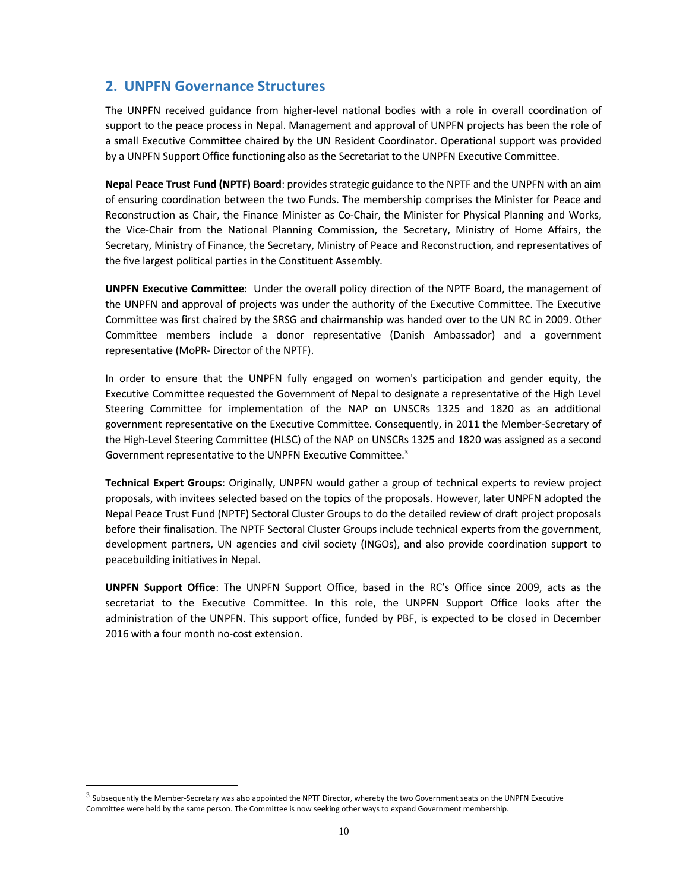# **2. UNPFN Governance Structures**

The UNPFN received guidance from higher-level national bodies with a role in overall coordination of support to the peace process in Nepal. Management and approval of UNPFN projects has been the role of a small Executive Committee chaired by the UN Resident Coordinator. Operational support was provided by a UNPFN Support Office functioning also as the Secretariat to the UNPFN Executive Committee.

**Nepal Peace Trust Fund (NPTF) Board**: provides strategic guidance to the NPTF and the UNPFN with an aim of ensuring coordination between the two Funds. The membership comprises the Minister for Peace and Reconstruction as Chair, the Finance Minister as Co-Chair, the Minister for Physical Planning and Works, the Vice-Chair from the National Planning Commission, the Secretary, Ministry of Home Affairs, the Secretary, Ministry of Finance, the Secretary, Ministry of Peace and Reconstruction, and representatives of the five largest political parties in the Constituent Assembly.

**UNPFN Executive Committee**: Under the overall policy direction of the NPTF Board, the management of the UNPFN and approval of projects was under the authority of the Executive Committee. The Executive Committee was first chaired by the SRSG and chairmanship was handed over to the UN RC in 2009. Other Committee members include a donor representative (Danish Ambassador) and a government representative (MoPR- Director of the NPTF).

In order to ensure that the UNPFN fully engaged on women's participation and gender equity, the Executive Committee requested the Government of Nepal to designate a representative of the High Level Steering Committee for implementation of the NAP on UNSCRs 1325 and 1820 as an additional government representative on the Executive Committee. Consequently, in 2011 the Member-Secretary of the High-Level Steering Committee (HLSC) of the NAP on UNSCRs 1325 and 1820 was assigned as a second Government representative to the UNPFN Executive Committee.<sup>3</sup>

**Technical Expert Groups**: Originally, UNPFN would gather a group of technical experts to review project proposals, with invitees selected based on the topics of the proposals. However, later UNPFN adopted the Nepal Peace Trust Fund (NPTF) Sectoral Cluster Groups to do the detailed review of draft project proposals before their finalisation. The NPTF Sectoral Cluster Groups include technical experts from the government, development partners, UN agencies and civil society (INGOs), and also provide coordination support to peacebuilding initiatives in Nepal.

**UNPFN Support Office**: The UNPFN Support Office, based in the RC's Office since 2009, acts as the secretariat to the Executive Committee. In this role, the UNPFN Support Office looks after the administration of the UNPFN. This support office, funded by PBF, is expected to be closed in December 2016 with a four month no-cost extension.

 $3$  Subsequently the Member-Secretary was also appointed the NPTF Director, whereby the two Government seats on the UNPFN Executive Committee were held by the same person. The Committee is now seeking other ways to expand Government membership.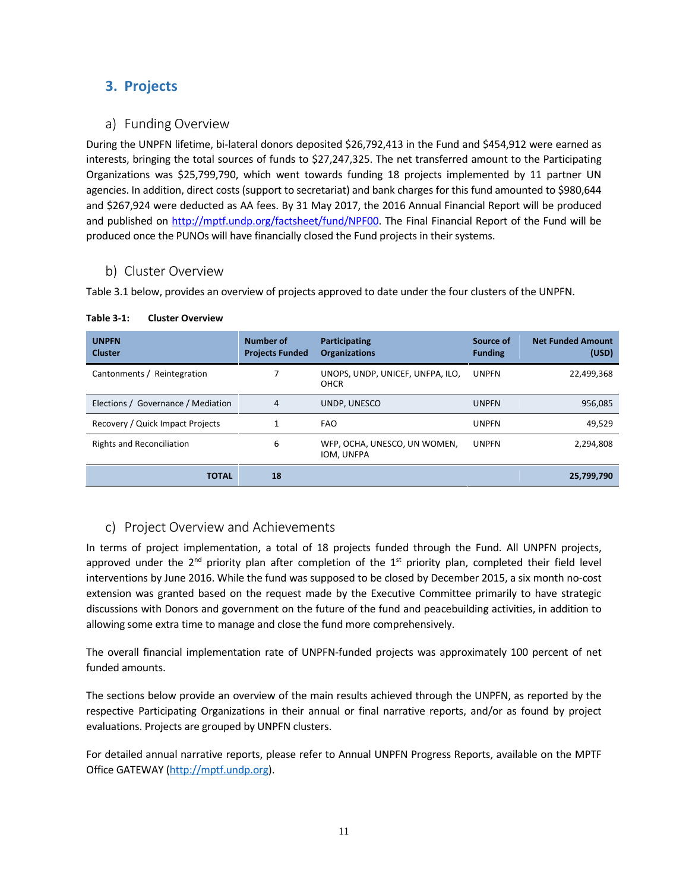# **3. Projects**

# **a) Funding Overview**

During the UNPFN lifetime, bi-lateral donors deposited \$26,792,413 in the Fund and \$454,912 were earned as interests, bringing the total sources of funds to \$27,247,325. The net transferred amount to the Participating Organizations was \$25,799,790, which went towards funding 18 projects implemented by 11 partner UN agencies. In addition, direct costs (support to secretariat) and bank charges for this fund amounted to \$980,644 and \$267,924 were deducted as AA fees. By 31 May 2017, the 2016 Annual Financial Report will be produced and published on http://mptf.undp.org/factsheet/fund/NPF00. The Final Financial Report of the Fund will be produced once the PUNOs will have financially closed the Fund projects in their systems.

# **b) Cluster Overview**

Table 3.1 below, provides an overview of projects approved to date under the four clusters of the UNPFN.

| <b>UNPFN</b><br><b>Cluster</b>     | <b>Number of</b><br><b>Projects Funded</b> | Participating<br><b>Organizations</b>           | Source of<br><b>Funding</b> | <b>Net Funded Amount</b><br>(USD) |
|------------------------------------|--------------------------------------------|-------------------------------------------------|-----------------------------|-----------------------------------|
| Cantonments / Reintegration        |                                            | UNOPS, UNDP, UNICEF, UNFPA, ILO,<br><b>OHCR</b> | <b>UNPFN</b>                | 22,499,368                        |
| Elections / Governance / Mediation | 4                                          | UNDP, UNESCO                                    | <b>UNPFN</b>                | 956,085                           |
| Recovery / Quick Impact Projects   |                                            | <b>FAO</b>                                      | <b>UNPFN</b>                | 49,529                            |
| <b>Rights and Reconciliation</b>   | 6                                          | WFP, OCHA, UNESCO, UN WOMEN,<br>IOM, UNFPA      | <b>UNPFN</b>                | 2,294,808                         |
| <b>TOTAL</b>                       | 18                                         |                                                 |                             | 25,799,790                        |

#### **Table 3-1: Cluster Overview**

# **c) Project Overview and Achievements**

In terms of project implementation, a total of 18 projects funded through the Fund. All UNPFN projects, approved under the 2<sup>nd</sup> priority plan after completion of the 1<sup>st</sup> priority plan, completed their field level interventions by June 2016. While the fund was supposed to be closed by December 2015, a six month no-cost extension was granted based on the request made by the Executive Committee primarily to have strategic discussions with Donors and government on the future of the fund and peacebuilding activities, in addition to allowing some extra time to manage and close the fund more comprehensively.

The overall financial implementation rate of UNPFN-funded projects was approximately 100 percent of net funded amounts.

The sections below provide an overview of the main results achieved through the UNPFN, as reported by the respective Participating Organizations in their annual or final narrative reports, and/or as found by project evaluations. Projects are grouped by UNPFN clusters.

For detailed annual narrative reports, please refer to Annual UNPFN Progress Reports, available on the MPTF Office GATEWAY (http://mptf.undp.org).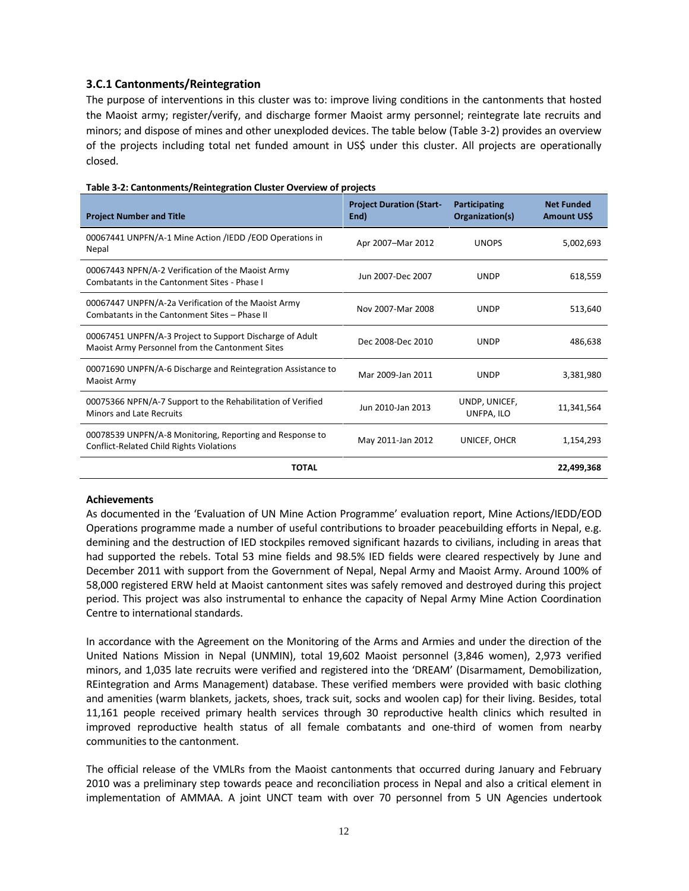### **3.C.1 Cantonments/Reintegration**

The purpose of interventions in this cluster was to: improve living conditions in the cantonments that hosted the Maoist army; register/verify, and discharge former Maoist army personnel; reintegrate late recruits and minors; and dispose of mines and other unexploded devices. The table below (Table 3-2) provides an overview of the projects including total net funded amount in US\$ under this cluster. All projects are operationally closed.

| <b>Project Number and Title</b>                                                                             | <b>Project Duration (Start-</b><br>End) | Participating<br>Organization(s) | <b>Net Funded</b><br><b>Amount USS</b> |
|-------------------------------------------------------------------------------------------------------------|-----------------------------------------|----------------------------------|----------------------------------------|
| 00067441 UNPFN/A-1 Mine Action /IEDD / EOD Operations in<br>Nepal                                           | Apr 2007-Mar 2012                       | <b>UNOPS</b>                     | 5,002,693                              |
| 00067443 NPFN/A-2 Verification of the Maoist Army<br>Combatants in the Cantonment Sites - Phase I           | Jun 2007-Dec 2007                       | <b>UNDP</b>                      | 618,559                                |
| 00067447 UNPFN/A-2a Verification of the Maoist Army<br>Combatants in the Cantonment Sites - Phase II        | Nov 2007-Mar 2008                       | <b>UNDP</b>                      | 513,640                                |
| 00067451 UNPFN/A-3 Project to Support Discharge of Adult<br>Maoist Army Personnel from the Cantonment Sites | Dec 2008-Dec 2010                       | <b>UNDP</b>                      | 486,638                                |
| 00071690 UNPFN/A-6 Discharge and Reintegration Assistance to<br>Maoist Army                                 | Mar 2009-Jan 2011                       | <b>UNDP</b>                      | 3,381,980                              |
| 00075366 NPFN/A-7 Support to the Rehabilitation of Verified<br><b>Minors and Late Recruits</b>              | Jun 2010-Jan 2013                       | UNDP, UNICEF,<br>UNFPA, ILO      | 11,341,564                             |
| 00078539 UNPFN/A-8 Monitoring, Reporting and Response to<br>Conflict-Related Child Rights Violations        | May 2011-Jan 2012                       | UNICEF, OHCR                     | 1,154,293                              |
| <b>TOTAL</b>                                                                                                |                                         |                                  | 22.499.368                             |

#### **Table 3-2: Cantonments/Reintegration Cluster Overview of projects**

#### **Achievements**

As documented in the 'Evaluation of UN Mine Action Programme' evaluation report, Mine Actions/IEDD/EOD Operations programme made a number of useful contributions to broader peacebuilding efforts in Nepal, e.g. demining and the destruction of IED stockpiles removed significant hazards to civilians, including in areas that had supported the rebels. Total 53 mine fields and 98.5% IED fields were cleared respectively by June and December 2011 with support from the Government of Nepal, Nepal Army and Maoist Army. Around 100% of 58,000 registered ERW held at Maoist cantonment sites was safely removed and destroyed during this project period. This project was also instrumental to enhance the capacity of Nepal Army Mine Action Coordination Centre to international standards.

In accordance with the Agreement on the Monitoring of the Arms and Armies and under the direction of the United Nations Mission in Nepal (UNMIN), total 19,602 Maoist personnel (3,846 women), 2,973 verified minors, and 1,035 late recruits were verified and registered into the 'DREAM' (Disarmament, Demobilization, REintegration and Arms Management) database. These verified members were provided with basic clothing and amenities (warm blankets, jackets, shoes, track suit, socks and woolen cap) for their living. Besides, total 11,161 people received primary health services through 30 reproductive health clinics which resulted in improved reproductive health status of all female combatants and one-third of women from nearby communities to the cantonment.

The official release of the VMLRs from the Maoist cantonments that occurred during January and February 2010 was a preliminary step towards peace and reconciliation process in Nepal and also a critical element in implementation of AMMAA. A joint UNCT team with over 70 personnel from 5 UN Agencies undertook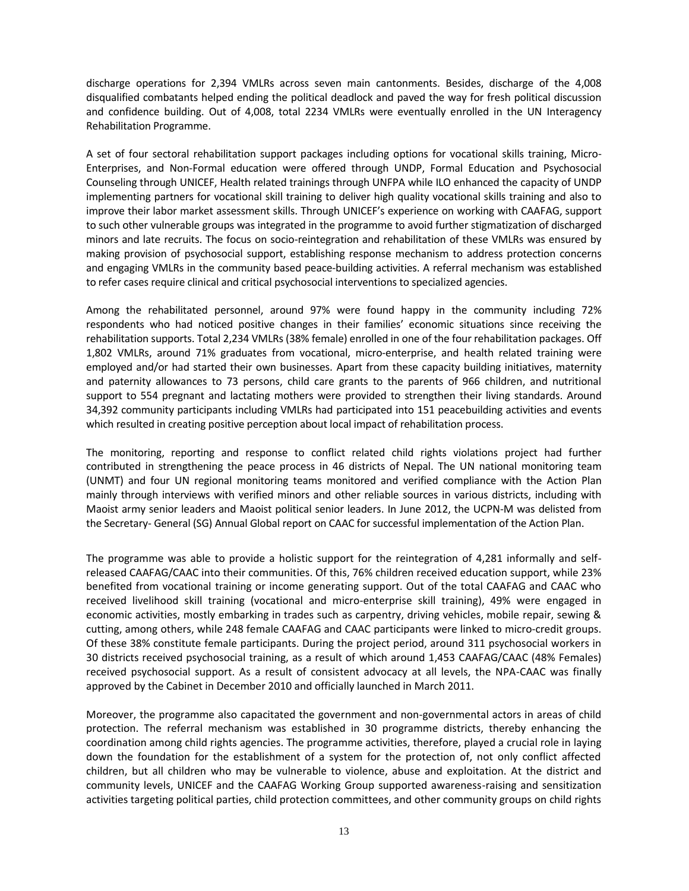discharge operations for 2,394 VMLRs across seven main cantonments. Besides, discharge of the 4,008 disqualified combatants helped ending the political deadlock and paved the way for fresh political discussion and confidence building. Out of 4,008, total 2234 VMLRs were eventually enrolled in the UN Interagency Rehabilitation Programme.

A set of four sectoral rehabilitation support packages including options for vocational skills training, Micro- Enterprises, and Non-Formal education were offered through UNDP, Formal Education and Psychosocial Counseling through UNICEF, Health related trainings through UNFPA while ILO enhanced the capacity of UNDP implementing partners for vocational skill training to deliver high quality vocational skills training and also to improve their labor market assessment skills. Through UNICEF's experience on working with CAAFAG, support to such other vulnerable groups was integrated in the programme to avoid further stigmatization of discharged minors and late recruits. The focus on socio-reintegration and rehabilitation of these VMLRs was ensured by making provision of psychosocial support, establishing response mechanism to address protection concerns and engaging VMLRs in the community based peace-building activities. A referral mechanism was established to refer cases require clinical and critical psychosocial interventions to specialized agencies.

Among the rehabilitated personnel, around 97% were found happy in the community including 72% respondents who had noticed positive changes in their families' economic situations since receiving the rehabilitation supports. Total 2,234 VMLRs (38% female) enrolled in one of the four rehabilitation packages. Off 1,802 VMLRs, around 71% graduates from vocational, micro-enterprise, and health related training were employed and/or had started their own businesses. Apart from these capacity building initiatives, maternity and paternity allowances to 73 persons, child care grants to the parents of 966 children, and nutritional support to 554 pregnant and lactating mothers were provided to strengthen their living standards. Around 34,392 community participants including VMLRs had participated into 151 peacebuilding activities and events which resulted in creating positive perception about local impact of rehabilitation process.

The monitoring, reporting and response to conflict related child rights violations project had further contributed in strengthening the peace process in 46 districts of Nepal. The UN national monitoring team (UNMT) and four UN regional monitoring teams monitored and verified compliance with the Action Plan mainly through interviews with verified minors and other reliable sources in various districts, including with Maoist army senior leaders and Maoist political senior leaders. In June 2012, the UCPN-M was delisted from the Secretary- General (SG) Annual Global report on CAAC for successful implementation of the Action Plan.

The programme was able to provide a holistic support for the reintegration of 4,281 informally and self released CAAFAG/CAAC into their communities. Of this, 76% children received education support, while 23% benefited from vocational training or income generating support. Out of the total CAAFAG and CAAC who received livelihood skill training (vocational and micro-enterprise skill training), 49% were engaged in economic activities, mostly embarking in trades such as carpentry, driving vehicles, mobile repair, sewing & cutting, among others, while 248 female CAAFAG and CAAC participants were linked to micro-credit groups. Of these 38% constitute female participants. During the project period, around 311 psychosocial workers in 30 districts received psychosocial training, as a result of which around 1,453 CAAFAG/CAAC (48% Females) received psychosocial support. As a result of consistent advocacy at all levels, the NPA-CAAC was finally approved by the Cabinet in December 2010 and officially launched in March 2011.

Moreover, the programme also capacitated the government and non-governmental actors in areas of child protection. The referral mechanism was established in 30 programme districts, thereby enhancing the coordination among child rights agencies. The programme activities, therefore, played a crucial role in laying down the foundation for the establishment of a system for the protection of, not only conflict affected children, but all children who may be vulnerable to violence, abuse and exploitation. At the district and community levels, UNICEF and the CAAFAG Working Group supported awareness-raising and sensitization activities targeting political parties, child protection committees, and other community groups on child rights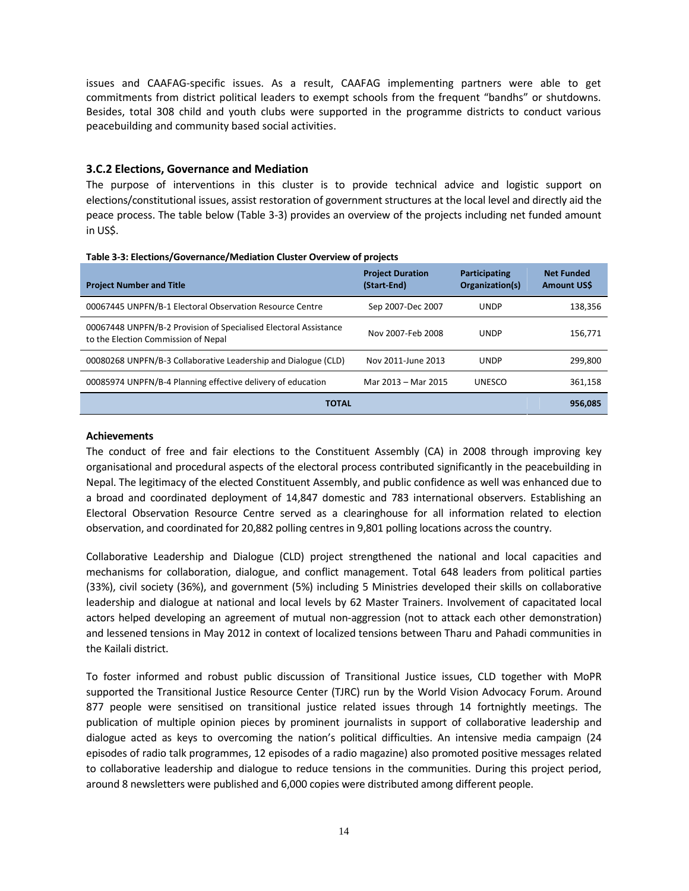issues and CAAFAG-specific issues. As a result, CAAFAG implementing partners were able to get commitments from district political leaders to exempt schools from the frequent "bandhs" or shutdowns. Besides, total 308 child and youth clubs were supported in the programme districts to conduct various peacebuilding and community based social activities.

#### **3.C.2 Elections, Governance and Mediation**

The purpose of interventions in this cluster is to provide technical advice and logistic support on elections/constitutional issues, assist restoration of government structures at the local level and directly aid the peace process. The table below (Table 3-3) provides an overview of the projects including net funded amount in US\$.

| <b>Project Number and Title</b>                                                                         | <b>Project Duration</b><br>(Start-End) | <b>Participating</b><br>Organization(s) | <b>Net Funded</b><br><b>Amount USS</b> |
|---------------------------------------------------------------------------------------------------------|----------------------------------------|-----------------------------------------|----------------------------------------|
| 00067445 UNPFN/B-1 Electoral Observation Resource Centre                                                | Sep 2007-Dec 2007                      | <b>UNDP</b>                             | 138,356                                |
| 00067448 UNPFN/B-2 Provision of Specialised Electoral Assistance<br>to the Election Commission of Nepal | Nov 2007-Feb 2008                      | <b>UNDP</b>                             | 156.771                                |
| 00080268 UNPFN/B-3 Collaborative Leadership and Dialogue (CLD)                                          | Nov 2011-June 2013                     | <b>UNDP</b>                             | 299.800                                |
| 00085974 UNPFN/B-4 Planning effective delivery of education                                             | Mar 2013 - Mar 2015                    | <b>UNESCO</b>                           | 361,158                                |
| <b>TOTAL</b>                                                                                            |                                        |                                         | 956.085                                |

#### **Achievements**

The conduct of free and fair elections to the Constituent Assembly (CA) in 2008 through improving key organisational and procedural aspects of the electoral process contributed significantly in the peacebuilding in Nepal. The legitimacy of the elected Constituent Assembly, and public confidence as well was enhanced due to a broad and coordinated deployment of 14,847 domestic and 783 international observers. Establishing an Electoral Observation Resource Centre served as a clearinghouse for all information related to election observation, and coordinated for 20,882 polling centres in 9,801 polling locations across the country.

Collaborative Leadership and Dialogue (CLD) project strengthened the national and local capacities and mechanisms for collaboration, dialogue, and conflict management. Total 648 leaders from political parties (33%), civil society (36%), and government (5%) including 5 Ministries developed their skills on collaborative leadership and dialogue at national and local levels by 62 Master Trainers. Involvement of capacitated local actors helped developing an agreement of mutual non-aggression (not to attack each other demonstration) and lessened tensions in May 2012 in context of localized tensions between Tharu and Pahadi communities in the Kailali district.

To foster informed and robust public discussion of Transitional Justice issues, CLD together with MoPR supported the Transitional Justice Resource Center (TJRC) run by the World Vision Advocacy Forum. Around 877 people were sensitised on transitional justice related issues through 14 fortnightly meetings. The publication of multiple opinion pieces by prominent journalists in support of collaborative leadership and dialogue acted as keys to overcoming the nation's political difficulties. An intensive media campaign (24 episodes of radio talk programmes, 12 episodes of a radio magazine) also promoted positive messages related to collaborative leadership and dialogue to reduce tensions in the communities. During this project period, around 8 newsletters were published and 6,000 copies were distributed among different people.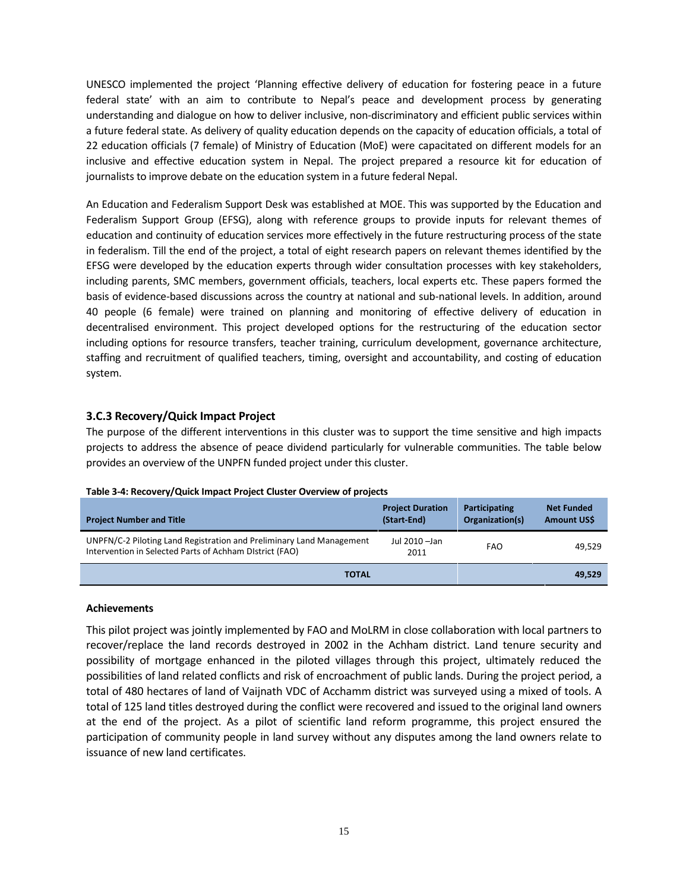UNESCO implemented the project 'Planning effective delivery of education for fostering peace in a future federal state' with an aim to contribute to Nepal's peace and development process by generating understanding and dialogue on how to deliver inclusive, non-discriminatory and efficient public services within a future federal state. As delivery of quality education depends on the capacity of education officials, a total of 22 education officials (7 female) of Ministry of Education (MoE) were capacitated on different models for an inclusive and effective education system in Nepal. The project prepared a resource kit for education of journalists to improve debate on the education system in a future federal Nepal.

An Education and Federalism Support Desk was established at MOE. This was supported by the Education and Federalism Support Group (EFSG), along with reference groups to provide inputs for relevant themes of education and continuity of education services more effectively in the future restructuring process of the state in federalism. Till the end of the project, a total of eight research papers on relevant themes identified by the EFSG were developed by the education experts through wider consultation processes with key stakeholders, including parents, SMC members, government officials, teachers, local experts etc. These papers formed the basis of evidence-based discussions across the country at national and sub-national levels. In addition, around 40 people (6 female) were trained on planning and monitoring of effective delivery of education in decentralised environment. This project developed options for the restructuring of the education sector including options for resource transfers, teacher training, curriculum development, governance architecture, staffing and recruitment of qualified teachers, timing, oversight and accountability, and costing of education system.

#### **3.C.3 Recovery/Quick Impact Project**

The purpose of the different interventions in this cluster was to support the time sensitive and high impacts projects to address the absence of peace dividend particularly for vulnerable communities. The table below provides an overview of the UNPFN funded project under this cluster.

| <b>Project Number and Title</b>                                                                                                 | <b>Project Duration</b><br>(Start-End) | <b>Participating</b><br>Organization(s) | <b>Net Funded</b><br>Amount US\$ |
|---------------------------------------------------------------------------------------------------------------------------------|----------------------------------------|-----------------------------------------|----------------------------------|
| UNPFN/C-2 Piloting Land Registration and Preliminary Land Management<br>Intervention in Selected Parts of Achham District (FAO) | Jul 2010 - Jan<br>2011                 | FAO                                     | 49.529                           |
| <b>TOTAL</b>                                                                                                                    |                                        |                                         | 49,529                           |

#### **Table 3-4: Recovery/Quick Impact Project Cluster Overview of projects**

#### **Achievements**

This pilot project was jointly implemented by FAO and MoLRM in close collaboration with local partners to recover/replace the land records destroyed in 2002 in the Achham district. Land tenure security and possibility of mortgage enhanced in the piloted villages through this project, ultimately reduced the possibilities of land related conflicts and risk of encroachment of public lands. During the project period, a total of 480 hectares of land of Vaijnath VDC of Acchamm district was surveyed using a mixed of tools. A total of 125 land titles destroyed during the conflict were recovered and issued to the original land owners at the end of the project. As a pilot of scientific land reform programme, this project ensured the participation of community people in land survey without any disputes among the land owners relate to issuance of new land certificates.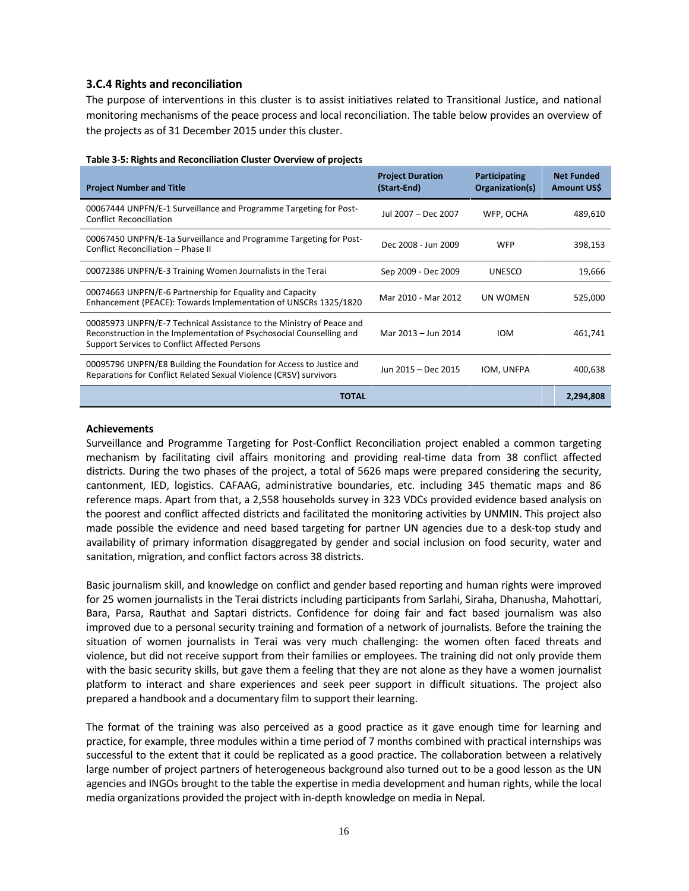#### **3.C.4 Rights and reconciliation**

The purpose of interventions in this cluster is to assist initiatives related to Transitional Justice, and national monitoring mechanisms of the peace process and local reconciliation. The table below provides an overview of the projects as of 31 December 2015 under this cluster.

| Table 3-5: Rights and Reconciliation Cluster Overview of projects |
|-------------------------------------------------------------------|
|-------------------------------------------------------------------|

| <b>Project Number and Title</b>                                                                                                                                                                      | <b>Project Duration</b><br>(Start-End) | Participating<br>Organization(s) | <b>Net Funded</b><br>Amount US\$ |
|------------------------------------------------------------------------------------------------------------------------------------------------------------------------------------------------------|----------------------------------------|----------------------------------|----------------------------------|
| 00067444 UNPFN/E-1 Surveillance and Programme Targeting for Post-<br><b>Conflict Reconciliation</b>                                                                                                  | Jul 2007 – Dec 2007                    | WFP, OCHA                        | 489,610                          |
| 00067450 UNPFN/E-1a Surveillance and Programme Targeting for Post-<br>Conflict Reconciliation - Phase II                                                                                             | Dec 2008 - Jun 2009                    | <b>WFP</b>                       | 398,153                          |
| 00072386 UNPFN/E-3 Training Women Journalists in the Terai                                                                                                                                           | Sep 2009 - Dec 2009                    | <b>UNESCO</b>                    | 19,666                           |
| 00074663 UNPFN/E-6 Partnership for Equality and Capacity<br>Enhancement (PEACE): Towards Implementation of UNSCRs 1325/1820                                                                          | Mar 2010 - Mar 2012                    | UN WOMEN                         | 525,000                          |
| 00085973 UNPFN/E-7 Technical Assistance to the Ministry of Peace and<br>Reconstruction in the Implementation of Psychosocial Counselling and<br><b>Support Services to Conflict Affected Persons</b> | Mar 2013 - Jun 2014                    | <b>IOM</b>                       | 461,741                          |
| 00095796 UNPFN/E8 Building the Foundation for Access to Justice and<br>Reparations for Conflict Related Sexual Violence (CRSV) survivors                                                             | Jun 2015 - Dec 2015                    | IOM, UNFPA                       | 400,638                          |
| <b>TOTAL</b>                                                                                                                                                                                         |                                        |                                  | 2,294,808                        |

#### **Achievements**

Surveillance and Programme Targeting for Post-Conflict Reconciliation project enabled a common targeting mechanism by facilitating civil affairs monitoring and providing real-time data from 38 conflict affected districts. During the two phases of the project, a total of 5626 maps were prepared considering the security, cantonment, IED, logistics. CAFAAG, administrative boundaries, etc. including 345 thematic maps and 86 reference maps. Apart from that, a 2,558 households survey in 323 VDCs provided evidence based analysis on the poorest and conflict affected districts and facilitated the monitoring activities by UNMIN. This project also made possible the evidence and need based targeting for partner UN agencies due to a desk-top study and availability of primary information disaggregated by gender and social inclusion on food security, water and sanitation, migration, and conflict factors across 38 districts.

Basic journalism skill, and knowledge on conflict and gender based reporting and human rights were improved for 25 women journalists in the Terai districts including participants from Sarlahi, Siraha, Dhanusha, Mahottari, Bara, Parsa, Rauthat and Saptari districts. Confidence for doing fair and fact based journalism was also improved due to a personal security training and formation of a network of journalists. Before the training the situation of women journalists in Terai was very much challenging: the women often faced threats and violence, but did not receive support from their families or employees. The training did not only provide them with the basic security skills, but gave them a feeling that they are not alone as they have a women journalist platform to interact and share experiences and seek peer support in difficult situations. The project also prepared a handbook and a documentary film to support their learning.

The format of the training was also perceived as a good practice as it gave enough time for learning and practice, for example, three modules within a time period of 7 months combined with practical internships was successful to the extent that it could be replicated as a good practice. The collaboration between a relatively large number of project partners of heterogeneous background also turned out to be a good lesson as the UN agencies and INGOs brought to the table the expertise in media development and human rights, while the local media organizations provided the project with in-depth knowledge on media in Nepal.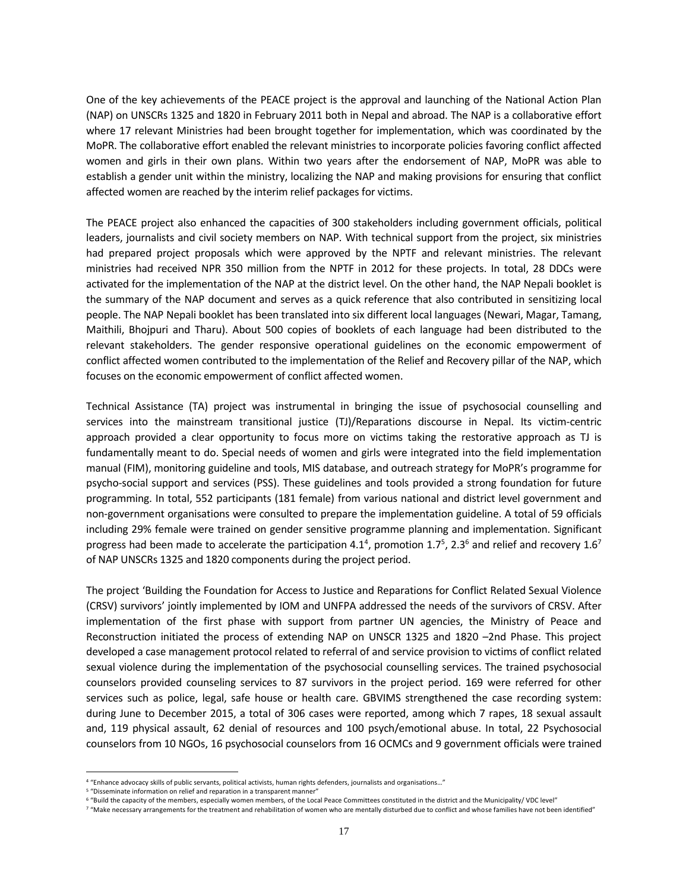One of the key achievements of the PEACE project is the approval and launching of the National Action Plan (NAP) on UNSCRs 1325 and 1820 in February 2011 both in Nepal and abroad. The NAP is a collaborative effort where 17 relevant Ministries had been brought together for implementation, which was coordinated by the MoPR. The collaborative effort enabled the relevant ministries to incorporate policies favoring conflict affected women and girls in their own plans. Within two years after the endorsement of NAP, MoPR was able to establish a gender unit within the ministry, localizing the NAP and making provisions for ensuring that conflict affected women are reached by the interim relief packages for victims.

The PEACE project also enhanced the capacities of 300 stakeholders including government officials, political leaders, journalists and civil society members on NAP. With technical support from the project, six ministries had prepared project proposals which were approved by the NPTF and relevant ministries. The relevant ministries had received NPR 350 million from the NPTF in 2012 for these projects. In total, 28 DDCs were activated for the implementation of the NAP at the district level. On the other hand, the NAP Nepali booklet is the summary of the NAP document and serves as a quick reference that also contributed in sensitizing local people. The NAP Nepali booklet has been translated into six different local languages (Newari, Magar, Tamang, Maithili, Bhojpuri and Tharu). About 500 copies of booklets of each language had been distributed to the relevant stakeholders. The gender responsive operational guidelines on the economic empowerment of conflict affected women contributed to the implementation of the Relief and Recovery pillar of the NAP, which focuses on the economic empowerment of conflict affected women.

Technical Assistance (TA) project was instrumental in bringing the issue of psychosocial counselling and services into the mainstream transitional justice (TJ)/Reparations discourse in Nepal. Its victim-centric approach provided a clear opportunity to focus more on victims taking the restorative approach as TJ is fundamentally meant to do. Special needs of women and girls were integrated into the field implementation manual (FIM), monitoring guideline and tools, MIS database, and outreach strategy for MoPR's programme for psycho-social support and services (PSS). These guidelines and tools provided a strong foundation for future programming. In total, 552 participants (181 female) from various national and district level government and non-government organisations were consulted to prepare the implementation guideline. A total of 59 officials including 29% female were trained on gender sensitive programme planning and implementation. Significant progress had been made to accelerate the participation 4.1<sup>4</sup>, promotion 1.7<sup>5</sup>, 2.3<sup>6</sup> and relief and recovery 1.6<sup>7</sup> of NAP UNSCRs 1325 and 1820 components during the project period.

The project 'Building the Foundation for Access to Justice and Reparations for Conflict Related Sexual Violence (CRSV) survivors' jointly implemented by IOM and UNFPA addressed the needs of the survivors of CRSV. After implementation of the first phase with support from partner UN agencies, the Ministry of Peace and Reconstruction initiated the process of extending NAP on UNSCR 1325 and 1820 –2nd Phase. This project developed a case management protocol related to referral of and service provision to victims of conflict related sexual violence during the implementation of the psychosocial counselling services. The trained psychosocial counselors provided counseling services to 87 survivors in the project period. 169 were referred for other services such as police, legal, safe house or health care. GBVIMS strengthened the case recording system: during June to December 2015, a total of 306 cases were reported, among which 7 rapes, 18 sexual assault and, 119 physical assault, 62 denial of resources and 100 psych/emotional abuse. In total, 22 Psychosocial counselors from 10 NGOs, 16 psychosocial counselors from 16 OCMCs and 9 government officials were trained

<sup>4</sup> "Enhance advocacy skills of public servants, political activists, human rights defenders, journalists and organisations…"

<sup>5</sup> "Disseminate information on relief and reparation in a transparent manner"

<sup>6</sup> "Build the capacity of the members, especially women members, of the Local Peace Committees constituted in the district and the Municipality/ VDC level"

<sup>7</sup> "Make necessary arrangements for the treatment and rehabilitation of women who are mentally disturbed due to conflict and whose families have not been identified"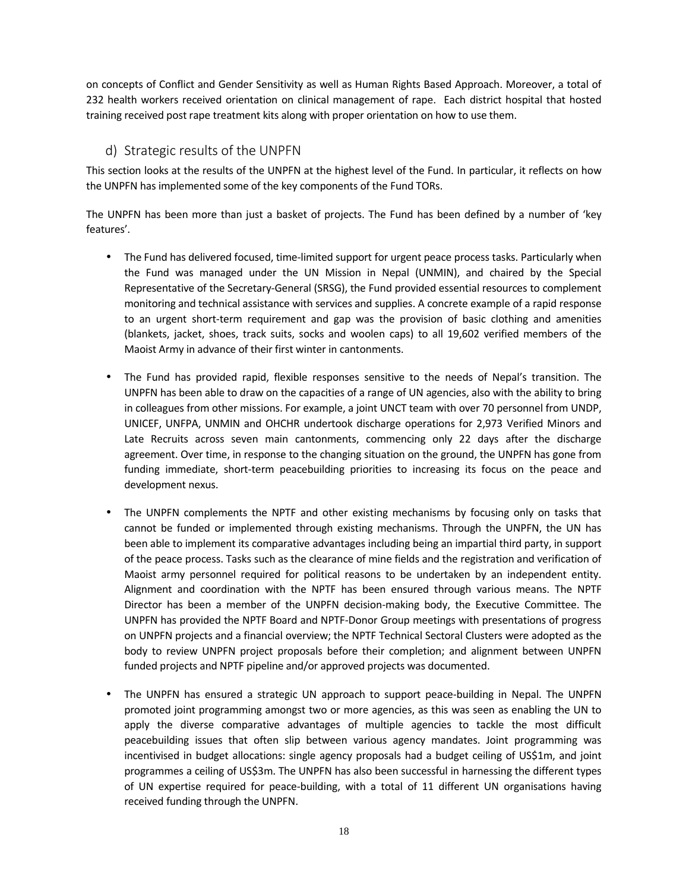on concepts of Conflict and Gender Sensitivity as well as Human Rights Based Approach. Moreover, a total of 232 health workers received orientation on clinical management of rape. Each district hospital that hosted training received post rape treatment kits along with proper orientation on how to use them.

### **d) Strategic results of the UNPFN**

This section looks at the results of the UNPFN at the highest level of the Fund. In particular, it reflects on how the UNPFN has implemented some of the key components of the Fund TORs.

The UNPFN has been more than just a basket of projects. The Fund has been defined by a number of 'key features'.

- The Fund has delivered focused, time-limited support for urgent peace process tasks. Particularly when the Fund was managed under the UN Mission in Nepal (UNMIN), and chaired by the Special Representative of the Secretary-General (SRSG), the Fund provided essential resources to complement monitoring and technical assistance with services and supplies. A concrete example of a rapid response to an urgent short-term requirement and gap was the provision of basic clothing and amenities (blankets, jacket, shoes, track suits, socks and woolen caps) to all 19,602 verified members of the Maoist Army in advance of their first winter in cantonments.
- The Fund has provided rapid, flexible responses sensitive to the needs of Nepal's transition. The UNPFN has been able to draw on the capacities of a range of UN agencies, also with the ability to bring in colleagues from other missions. For example, a joint UNCT team with over 70 personnel from UNDP, UNICEF, UNFPA, UNMIN and OHCHR undertook discharge operations for 2,973 Verified Minors and Late Recruits across seven main cantonments, commencing only 22 days after the discharge agreement. Over time, in response to the changing situation on the ground, the UNPFN has gone from funding immediate, short-term peacebuilding priorities to increasing its focus on the peace and development nexus.
- The UNPFN complements the NPTF and other existing mechanisms by focusing only on tasks that cannot be funded or implemented through existing mechanisms. Through the UNPFN, the UN has been able to implement its comparative advantages including being an impartial third party, in support of the peace process. Tasks such as the clearance of mine fields and the registration and verification of Maoist army personnel required for political reasons to be undertaken by an independent entity. Alignment and coordination with the NPTF has been ensured through various means. The NPTF Director has been a member of the UNPFN decision-making body, the Executive Committee. The UNPFN has provided the NPTF Board and NPTF-Donor Group meetings with presentations of progress on UNPFN projects and a financial overview; the NPTF Technical Sectoral Clusters were adopted as the body to review UNPFN project proposals before their completion; and alignment between UNPFN funded projects and NPTF pipeline and/or approved projects was documented.
- The UNPFN has ensured a strategic UN approach to support peace-building in Nepal. The UNPFN promoted joint programming amongst two or more agencies, as this was seen as enabling the UN to apply the diverse comparative advantages of multiple agencies to tackle the most difficult peacebuilding issues that often slip between various agency mandates. Joint programming was incentivised in budget allocations: single agency proposals had a budget ceiling of US\$1m, and joint programmes a ceiling of US\$3m. The UNPFN has also been successful in harnessing the different types of UN expertise required for peace-building, with a total of 11 different UN organisations having received funding through the UNPFN.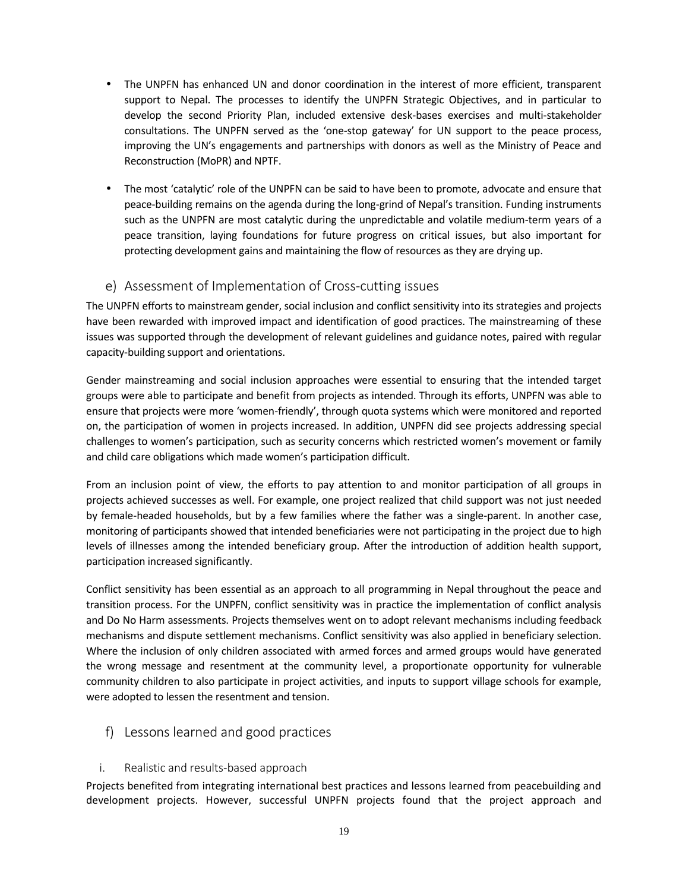- The UNPFN has enhanced UN and donor coordination in the interest of more efficient, transparent support to Nepal. The processes to identify the UNPFN Strategic Objectives, and in particular to develop the second Priority Plan, included extensive desk-bases exercises and multi-stakeholder consultations. The UNPFN served as the 'one-stop gateway' for UN support to the peace process, improving the UN's engagements and partnerships with donors as well as the Ministry of Peace and Reconstruction (MoPR) and NPTF.
- The most 'catalytic' role of the UNPFN can be said to have been to promote, advocate and ensure that peace-building remains on the agenda during the long-grind of Nepal's transition. Funding instruments such as the UNPFN are most catalytic during the unpredictable and volatile medium-term years of a peace transition, laying foundations for future progress on critical issues, but also important for protecting development gains and maintaining the flow of resources as they are drying up.

# **e) Assessment of Implementation of Cross-cutting issues**

The UNPFN efforts to mainstream gender, social inclusion and conflict sensitivity into its strategies and projects have been rewarded with improved impact and identification of good practices. The mainstreaming of these issues was supported through the development of relevant guidelines and guidance notes, paired with regular capacity-building support and orientations.

Gender mainstreaming and social inclusion approaches were essential to ensuring that the intended target groups were able to participate and benefit from projects as intended. Through its efforts, UNPFN was able to ensure that projects were more 'women-friendly', through quota systems which were monitored and reported on, the participation of women in projects increased. In addition, UNPFN did see projects addressing special challenges to women's participation, such as security concerns which restricted women's movement or family and child care obligations which made women's participation difficult.

From an inclusion point of view, the efforts to pay attention to and monitor participation of all groups in projects achieved successes as well. For example, one project realized that child support was not just needed by female-headed households, but by a few families where the father was a single-parent. In another case, monitoring of participants showed that intended beneficiaries were not participating in the project due to high levels of illnesses among the intended beneficiary group. After the introduction of addition health support, participation increased significantly.

Conflict sensitivity has been essential as an approach to all programming in Nepal throughout the peace and transition process. For the UNPFN, conflict sensitivity was in practice the implementation of conflict analysis and Do No Harm assessments. Projects themselves went on to adopt relevant mechanisms including feedback mechanisms and dispute settlement mechanisms. Conflict sensitivity was also applied in beneficiary selection. Where the inclusion of only children associated with armed forces and armed groups would have generated the wrong message and resentment at the community level, a proportionate opportunity for vulnerable community children to also participate in project activities, and inputs to support village schools for example, were adopted to lessen the resentment and tension.

# **f) Lessons learned and good practices**

**i. Realistic and results-based approach**

Projects benefited from integrating international best practices and lessons learned from peacebuilding and development projects. However, successful UNPFN projects found that the project approach and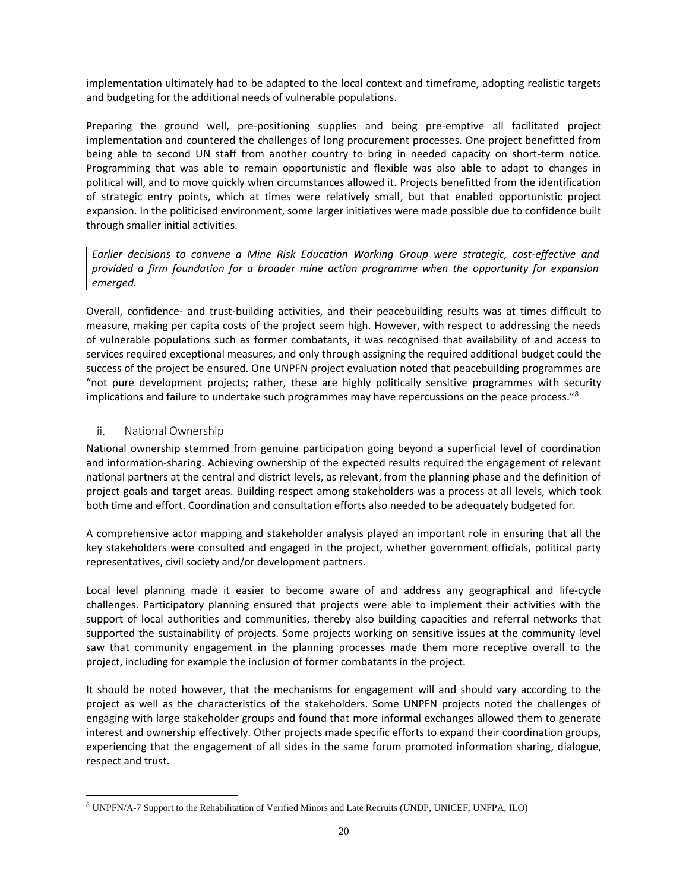implementation ultimately had to be adapted to the local context and timeframe, adopting realistic targets and budgeting for the additional needs of vulnerable populations.

Preparing the ground well, pre-positioning supplies and being pre-emptive all facilitated project implementation and countered the challenges of long procurement processes. One project benefitted from being able to second UN staff from another country to bring in needed capacity on short-term notice. Programming that was able to remain opportunistic and flexible was also able to adapt to changes in political will, and to move quickly when circumstances allowed it. Projects benefitted from the identification of strategic entry points, which at times were relatively small, but that enabled opportunistic project expansion. In the politicised environment, some larger initiatives were made possible due to confidence built through smaller initial activities.

*Earlier decisions to convene a Mine Risk Education Working Group were strategic, cost-effective and provided a firm foundation for a broader mine action programme when the opportunity for expansion emerged.*

Overall, confidence- and trust-building activities, and their peacebuilding results was at times difficult to measure, making per capita costs of the project seem high. However, with respect to addressing the needs of vulnerable populations such as former combatants, it was recognised that availability of and access to services required exceptional measures, and only through assigning the required additional budget could the success of the project be ensured. One UNPFN project evaluation noted that peacebuilding programmes are "not pure development projects; rather, these are highly politically sensitive programmes with security implications and failure to undertake such programmes may have repercussions on the peace process." $8$ 

#### **ii. National Ownership**

National ownership stemmed from genuine participation going beyond a superficial level of coordination and information-sharing. Achieving ownership of the expected results required the engagement of relevant national partners at the central and district levels, as relevant, from the planning phase and the definition of project goals and target areas. Building respect among stakeholders was a process at all levels, which took both time and effort. Coordination and consultation efforts also needed to be adequately budgeted for.

A comprehensive actor mapping and stakeholder analysis played an important role in ensuring that all the key stakeholders were consulted and engaged in the project, whether government officials, political party representatives, civil society and/or development partners.

Local level planning made it easier to become aware of and address any geographical and life-cycle challenges. Participatory planning ensured that projects were able to implement their activities with the support of local authorities and communities, thereby also building capacities and referral networks that supported the sustainability of projects. Some projects working on sensitive issues at the community level saw that community engagement in the planning processes made them more receptive overall to the project, including for example the inclusion of former combatants in the project.

It should be noted however, that the mechanisms for engagement will and should vary according to the project as well as the characteristics of the stakeholders. Some UNPFN projects noted the challenges of engaging with large stakeholder groups and found that more informal exchanges allowed them to generate interest and ownership effectively. Other projects made specific efforts to expand their coordination groups, experiencing that the engagement of all sides in the same forum promoted information sharing, dialogue, respect and trust.

<sup>8</sup> UNPFN/A-7 Support to the Rehabilitation of Verified Minors and Late Recruits (UNDP, UNICEF, UNFPA, ILO)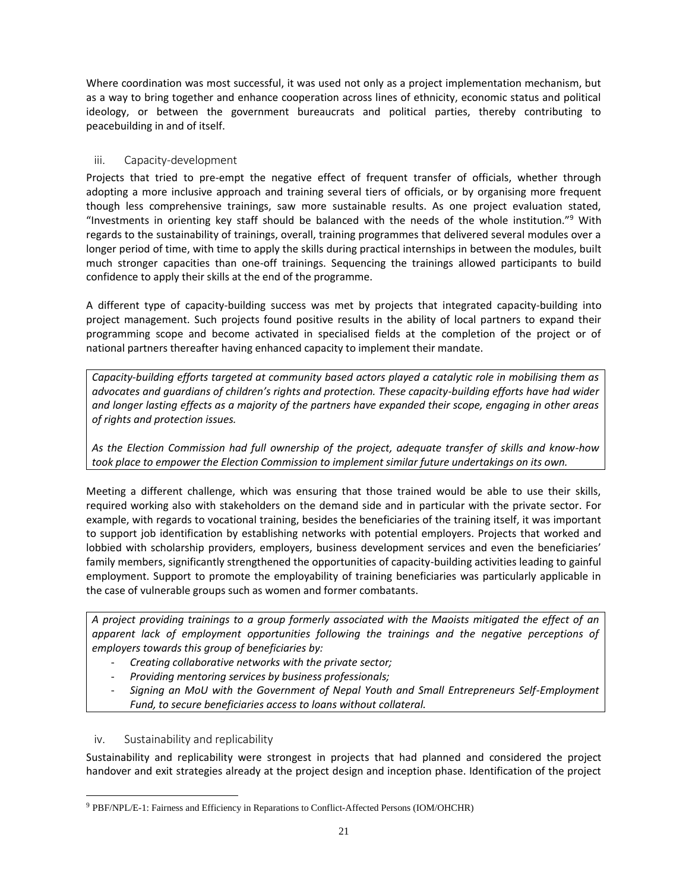Where coordination was most successful, it was used not only as a project implementation mechanism, but as a way to bring together and enhance cooperation across lines of ethnicity, economic status and political ideology, or between the government bureaucrats and political parties, thereby contributing to peacebuilding in and of itself.

### **iii. Capacity-development**

Projects that tried to pre-empt the negative effect of frequent transfer of officials, whether through adopting a more inclusive approach and training several tiers of officials, or by organising more frequent though less comprehensive trainings, saw more sustainable results. As one project evaluation stated, "Investments in orienting key staff should be balanced with the needs of the whole institution."<sup>9</sup> With regards to the sustainability of trainings, overall, training programmes that delivered several modules over a longer period of time, with time to apply the skills during practical internships in between the modules, built much stronger capacities than one-off trainings. Sequencing the trainings allowed participants to build confidence to apply their skills at the end of the programme.

A different type of capacity-building success was met by projects that integrated capacity-building into project management. Such projects found positive results in the ability of local partners to expand their programming scope and become activated in specialised fields at the completion of the project or of national partners thereafter having enhanced capacity to implement their mandate.

*Capacity-building efforts targeted at community based actors played a catalytic role in mobilising them as advocates and guardians of children's rights and protection. These capacity-building efforts have had wider and longer lasting effects as a majority of the partners have expanded their scope, engaging in other areas of rights and protection issues.*

*As the Election Commission had full ownership of the project, adequate transfer of skills and know-how took place to empower the Election Commission to implement similar future undertakings on its own.*

Meeting a different challenge, which was ensuring that those trained would be able to use their skills, required working also with stakeholders on the demand side and in particular with the private sector. For example, with regards to vocational training, besides the beneficiaries of the training itself, it was important to support job identification by establishing networks with potential employers. Projects that worked and lobbied with scholarship providers, employers, business development services and even the beneficiaries' family members, significantly strengthened the opportunities of capacity-building activities leading to gainful employment. Support to promote the employability of training beneficiaries was particularly applicable in the case of vulnerable groups such as women and former combatants.

*A project providing trainings to a group formerly associated with the Maoists mitigated the effect of an apparent lack of employment opportunities following the trainings and the negative perceptions of employers towards this group of beneficiaries by:*

- *Creating collaborative networks with the private sector;*
- *Providing mentoring services by business professionals;*
- *Signing an MoU with the Government of Nepal Youth and Small Entrepreneurs Self-Employment Fund, to secure beneficiaries access to loans without collateral.*

### **iv. Sustainability and replicability**

Sustainability and replicability were strongest in projects that had planned and considered the project handover and exit strategies already at the project design and inception phase. Identification of the project

<sup>9</sup> PBF/NPL/E-1: Fairness and Efficiency in Reparations to Conflict-Affected Persons (IOM/OHCHR)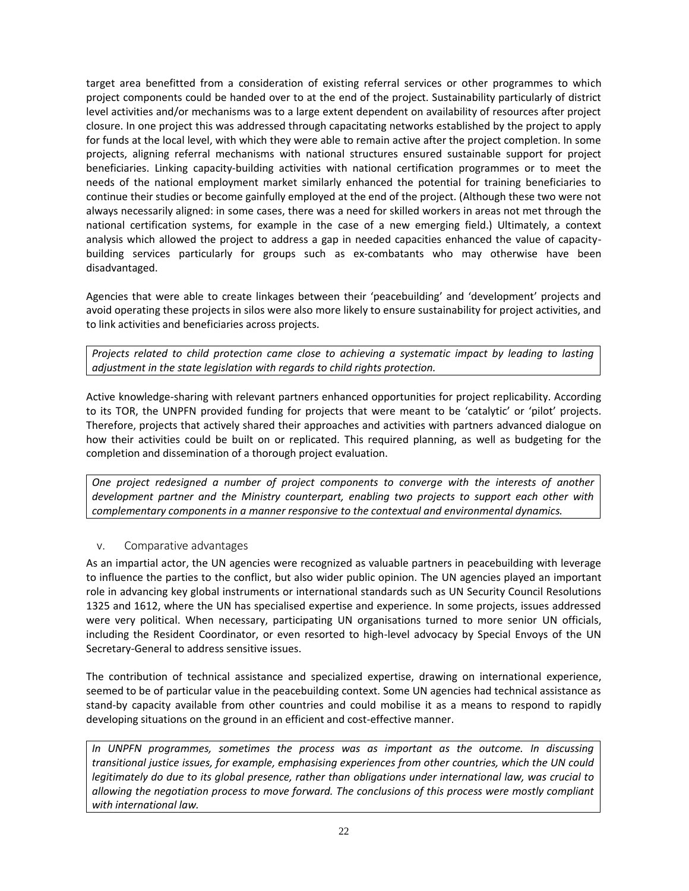target area benefitted from a consideration of existing referral services or other programmes to which project components could be handed over to at the end of the project. Sustainability particularly of district level activities and/or mechanisms was to a large extent dependent on availability of resources after project closure. In one project this was addressed through capacitating networks established by the project to apply for funds at the local level, with which they were able to remain active after the project completion. In some projects, aligning referral mechanisms with national structures ensured sustainable support for project beneficiaries. Linking capacity-building activities with national certification programmes or to meet the needs of the national employment market similarly enhanced the potential for training beneficiaries to continue their studies or become gainfully employed at the end of the project. (Although these two were not always necessarily aligned: in some cases, there was a need for skilled workers in areas not met through the national certification systems, for example in the case of a new emerging field.) Ultimately, a context analysis which allowed the project to address a gap in needed capacities enhanced the value of capacity building services particularly for groups such as ex-combatants who may otherwise have been disadvantaged.

Agencies that were able to create linkages between their 'peacebuilding' and 'development' projects and avoid operating these projects in silos were also more likely to ensure sustainability for project activities, and to link activities and beneficiaries across projects.

*Projects related to child protection came close to achieving a systematic impact by leading to lasting adjustment in the state legislation with regards to child rights protection.*

Active knowledge-sharing with relevant partners enhanced opportunities for project replicability. According to its TOR, the UNPFN provided funding for projects that were meant to be 'catalytic' or 'pilot' projects. Therefore, projects that actively shared their approaches and activities with partners advanced dialogue on how their activities could be built on or replicated. This required planning, as well as budgeting for the completion and dissemination of a thorough project evaluation.

*One project redesigned a number of project components to converge with the interests of another development partner and the Ministry counterpart, enabling two projects to support each other with complementary components in a manner responsive to the contextual and environmental dynamics.*

### **v. Comparative advantages**

As an impartial actor, the UN agencies were recognized as valuable partners in peacebuilding with leverage to influence the parties to the conflict, but also wider public opinion. The UN agencies played an important role in advancing key global instruments or international standards such as UN Security Council Resolutions 1325 and 1612, where the UN has specialised expertise and experience. In some projects, issues addressed were very political. When necessary, participating UN organisations turned to more senior UN officials, including the Resident Coordinator, or even resorted to high-level advocacy by Special Envoys of the UN Secretary-General to address sensitive issues.

The contribution of technical assistance and specialized expertise, drawing on international experience, seemed to be of particular value in the peacebuilding context. Some UN agencies had technical assistance as stand-by capacity available from other countries and could mobilise it as a means to respond to rapidly developing situations on the ground in an efficient and cost-effective manner.

*In UNPFN programmes, sometimes the process was as important as the outcome. In discussing transitional justice issues, for example, emphasising experiences from other countries, which the UN could legitimately do due to its global presence, rather than obligations under international law, was crucial to allowing the negotiation process to move forward. The conclusions of this process were mostly compliant with international law.*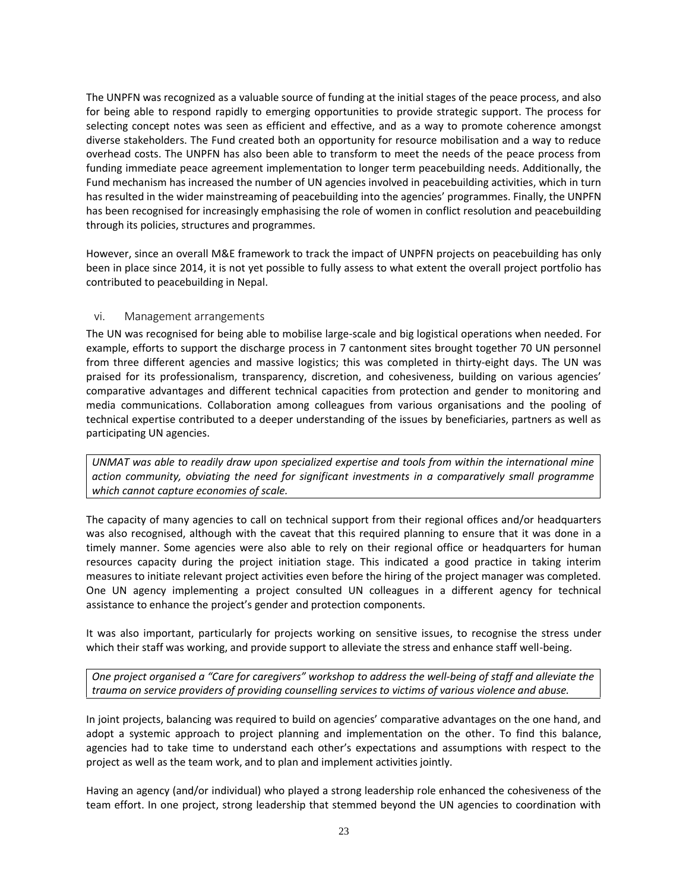The UNPFN was recognized as a valuable source of funding at the initial stages of the peace process, and also for being able to respond rapidly to emerging opportunities to provide strategic support. The process for selecting concept notes was seen as efficient and effective, and as a way to promote coherence amongst diverse stakeholders. The Fund created both an opportunity for resource mobilisation and a way to reduce overhead costs. The UNPFN has also been able to transform to meet the needs of the peace process from funding immediate peace agreement implementation to longer term peacebuilding needs. Additionally, the Fund mechanism has increased the number of UN agencies involved in peacebuilding activities, which in turn has resulted in the wider mainstreaming of peacebuilding into the agencies' programmes. Finally, the UNPFN has been recognised for increasingly emphasising the role of women in conflict resolution and peacebuilding through its policies, structures and programmes.

However, since an overall M&E framework to track the impact of UNPFN projects on peacebuilding has only been in place since 2014, it is not yet possible to fully assess to what extent the overall project portfolio has contributed to peacebuilding in Nepal.

#### **vi. Management arrangements**

The UN was recognised for being able to mobilise large-scale and big logistical operations when needed. For example, efforts to support the discharge process in 7 cantonment sites brought together 70 UN personnel from three different agencies and massive logistics; this was completed in thirty-eight days. The UN was praised for its professionalism, transparency, discretion, and cohesiveness, building on various agencies' comparative advantages and different technical capacities from protection and gender to monitoring and media communications. Collaboration among colleagues from various organisations and the pooling of technical expertise contributed to a deeper understanding of the issues by beneficiaries, partners as well as participating UN agencies.

*UNMAT was able to readily draw upon specialized expertise and tools from within the international mine action community, obviating the need for significant investments in a comparatively small programme which cannot capture economies of scale.*

The capacity of many agencies to call on technical support from their regional offices and/or headquarters was also recognised, although with the caveat that this required planning to ensure that it was done in a timely manner. Some agencies were also able to rely on their regional office or headquarters for human resources capacity during the project initiation stage. This indicated a good practice in taking interim measures to initiate relevant project activities even before the hiring of the project manager was completed. One UN agency implementing a project consulted UN colleagues in a different agency for technical assistance to enhance the project's gender and protection components.

It was also important, particularly for projects working on sensitive issues, to recognise the stress under which their staff was working, and provide support to alleviate the stress and enhance staff well-being.

*One project organised a "Care for caregivers" workshop to address the well-being of staff and alleviate the trauma on service providers of providing counselling services to victims of various violence and abuse.*

In joint projects, balancing was required to build on agencies' comparative advantages on the one hand, and adopt a systemic approach to project planning and implementation on the other. To find this balance, agencies had to take time to understand each other's expectations and assumptions with respect to the project as well as the team work, and to plan and implement activities jointly.

Having an agency (and/or individual) who played a strong leadership role enhanced the cohesiveness of the team effort. In one project, strong leadership that stemmed beyond the UN agencies to coordination with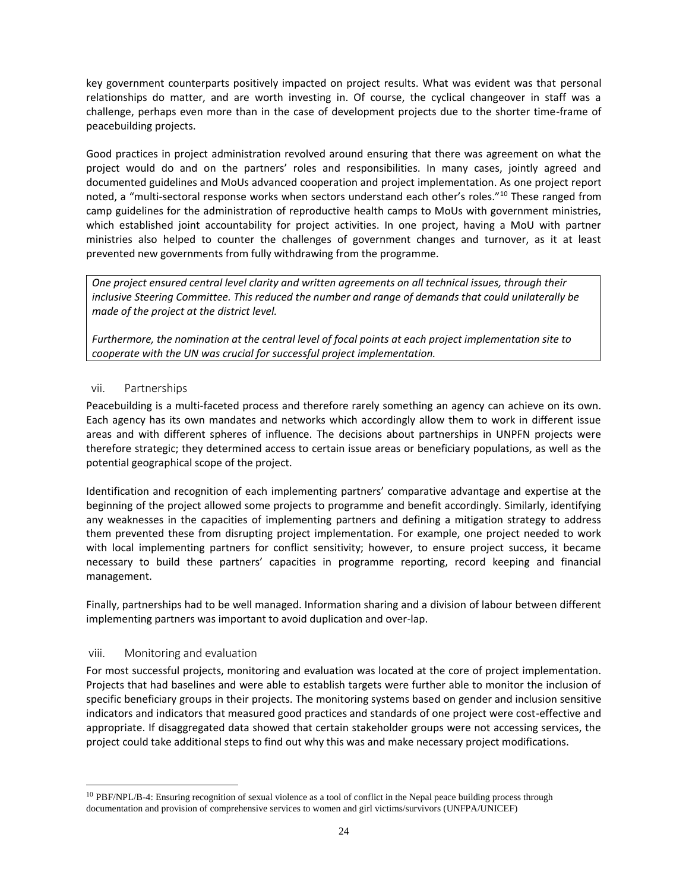key government counterparts positively impacted on project results. What was evident was that personal relationships do matter, and are worth investing in. Of course, the cyclical changeover in staff was a challenge, perhaps even more than in the case of development projects due to the shorter time-frame of peacebuilding projects.

Good practices in project administration revolved around ensuring that there was agreement on what the project would do and on the partners' roles and responsibilities. In many cases, jointly agreed and documented guidelines and MoUs advanced cooperation and project implementation. As one project report noted, a "multi-sectoral response works when sectors understand each other's roles."<sup>10</sup> These ranged from camp guidelines for the administration of reproductive health camps to MoUs with government ministries, which established joint accountability for project activities. In one project, having a MoU with partner ministries also helped to counter the challenges of government changes and turnover, as it at least prevented new governments from fully withdrawing from the programme.

*One project ensured central level clarity and written agreements on all technical issues, through their inclusive Steering Committee. This reduced the number and range of demands that could unilaterally be made of the project at the district level.*

*Furthermore, the nomination at the central level of focal points at each project implementation site to cooperate with the UN was crucial for successful project implementation.*

#### **vii. Partnerships**

Peacebuilding is a multi-faceted process and therefore rarely something an agency can achieve on its own. Each agency has its own mandates and networks which accordingly allow them to work in different issue areas and with different spheres of influence. The decisions about partnerships in UNPFN projects were therefore strategic; they determined access to certain issue areas or beneficiary populations, as well as the potential geographical scope of the project.

Identification and recognition of each implementing partners' comparative advantage and expertise at the beginning of the project allowed some projects to programme and benefit accordingly. Similarly, identifying any weaknesses in the capacities of implementing partners and defining a mitigation strategy to address them prevented these from disrupting project implementation. For example, one project needed to work with local implementing partners for conflict sensitivity; however, to ensure project success, it became necessary to build these partners' capacities in programme reporting, record keeping and financial management.

Finally, partnerships had to be well managed. Information sharing and a division of labour between different implementing partners was important to avoid duplication and over-lap.

#### **viii. Monitoring and evaluation**

For most successful projects, monitoring and evaluation was located at the core of project implementation. Projects that had baselines and were able to establish targets were further able to monitor the inclusion of specific beneficiary groups in their projects. The monitoring systems based on gender and inclusion sensitive indicators and indicators that measured good practices and standards of one project were cost-effective and appropriate. If disaggregated data showed that certain stakeholder groups were not accessing services, the project could take additional steps to find out why this was and make necessary project modifications.

<sup>10</sup> PBF/NPL/B-4: Ensuring recognition of sexual violence as a tool of conflict in the Nepal peace building process through documentation and provision of comprehensive services to women and girl victims/survivors (UNFPA/UNICEF)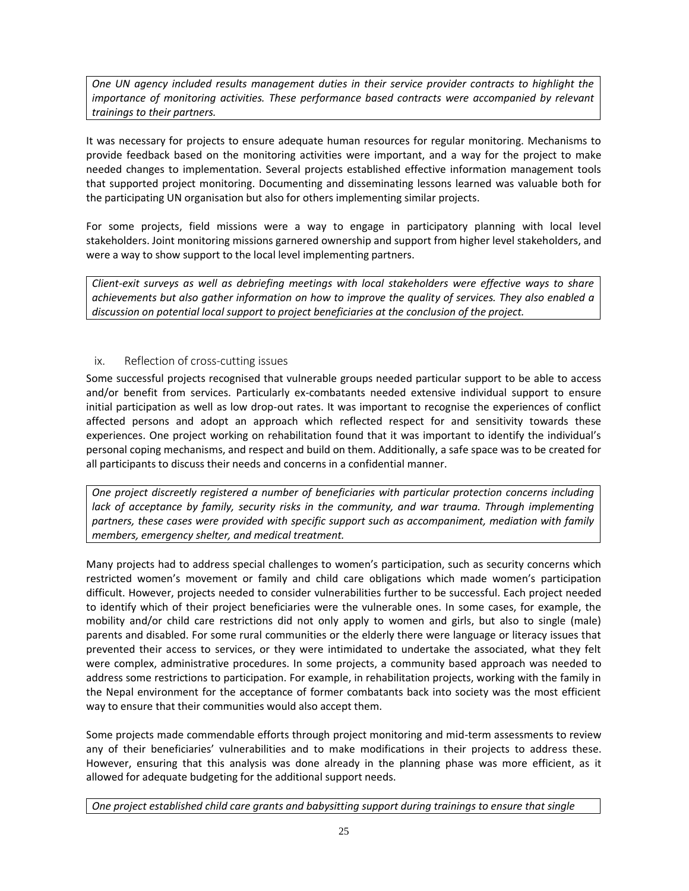*One UN agency included results management duties in their service provider contracts to highlight the importance of monitoring activities. These performance based contracts were accompanied by relevant trainings to their partners.*

It was necessary for projects to ensure adequate human resources for regular monitoring. Mechanisms to provide feedback based on the monitoring activities were important, and a way for the project to make needed changes to implementation. Several projects established effective information management tools that supported project monitoring. Documenting and disseminating lessons learned was valuable both for the participating UN organisation but also for others implementing similar projects.

For some projects, field missions were a way to engage in participatory planning with local level stakeholders. Joint monitoring missions garnered ownership and support from higher level stakeholders, and were a way to show support to the local level implementing partners.

*Client-exit surveys as well as debriefing meetings with local stakeholders were effective ways to share achievements but also gather information on how to improve the quality of services. They also enabled a discussion on potential local support to project beneficiaries at the conclusion of the project.*

### **ix. Reflection of cross-cutting issues**

Some successful projects recognised that vulnerable groups needed particular support to be able to access and/or benefit from services. Particularly ex-combatants needed extensive individual support to ensure initial participation as well as low drop-out rates. It was important to recognise the experiences of conflict affected persons and adopt an approach which reflected respect for and sensitivity towards these experiences. One project working on rehabilitation found that it was important to identify the individual's personal coping mechanisms, and respect and build on them. Additionally, a safe space was to be created for all participants to discuss their needs and concerns in a confidential manner.

*One project discreetly registered a number of beneficiaries with particular protection concerns including lack of acceptance by family, security risks in the community, and war trauma. Through implementing partners, these cases were provided with specific support such as accompaniment, mediation with family members, emergency shelter, and medical treatment.*

Many projects had to address special challenges to women's participation, such as security concerns which restricted women's movement or family and child care obligations which made women's participation difficult. However, projects needed to consider vulnerabilities further to be successful. Each project needed to identify which of their project beneficiaries were the vulnerable ones. In some cases, for example, the mobility and/or child care restrictions did not only apply to women and girls, but also to single (male) parents and disabled. For some rural communities or the elderly there were language or literacy issues that prevented their access to services, or they were intimidated to undertake the associated, what they felt were complex, administrative procedures. In some projects, a community based approach was needed to address some restrictions to participation. For example, in rehabilitation projects, working with the family in the Nepal environment for the acceptance of former combatants back into society was the most efficient way to ensure that their communities would also accept them.

Some projects made commendable efforts through project monitoring and mid-term assessments to review any of their beneficiaries' vulnerabilities and to make modifications in their projects to address these. However, ensuring that this analysis was done already in the planning phase was more efficient, as it allowed for adequate budgeting for the additional support needs.

*One project established child care grants and babysitting support during trainings to ensure that single*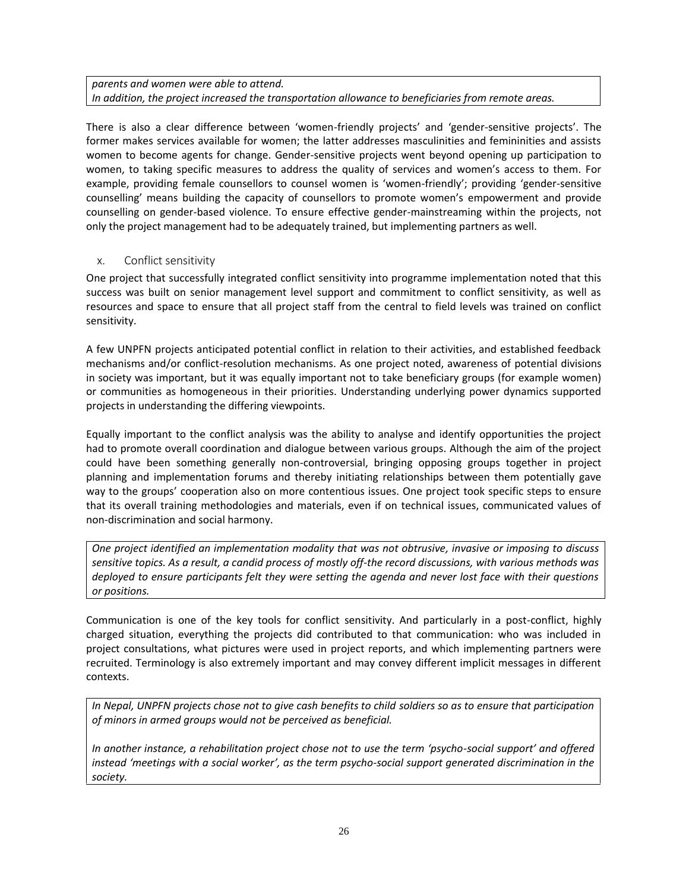#### *parents and women were able to attend. In addition, the project increased the transportation allowance to beneficiaries from remote areas.*

There is also a clear difference between 'women-friendly projects' and 'gender-sensitive projects'. The former makes services available for women; the latter addresses masculinities and femininities and assists women to become agents for change. Gender-sensitive projects went beyond opening up participation to women, to taking specific measures to address the quality of services and women's access to them. For example, providing female counsellors to counsel women is 'women-friendly'; providing 'gender-sensitive counselling' means building the capacity of counsellors to promote women's empowerment and provide counselling on gender-based violence. To ensure effective gender-mainstreaming within the projects, not only the project management had to be adequately trained, but implementing partners as well.

### **x. Conflict sensitivity**

One project that successfully integrated conflict sensitivity into programme implementation noted that this success was built on senior management level support and commitment to conflict sensitivity, as well as resources and space to ensure that all project staff from the central to field levels was trained on conflict sensitivity.

A few UNPFN projects anticipated potential conflict in relation to their activities, and established feedback mechanisms and/or conflict-resolution mechanisms. As one project noted, awareness of potential divisions in society was important, but it was equally important not to take beneficiary groups (for example women) or communities as homogeneous in their priorities. Understanding underlying power dynamics supported projects in understanding the differing viewpoints.

Equally important to the conflict analysis was the ability to analyse and identify opportunities the project had to promote overall coordination and dialogue between various groups. Although the aim of the project could have been something generally non-controversial, bringing opposing groups together in project planning and implementation forums and thereby initiating relationships between them potentially gave way to the groups' cooperation also on more contentious issues. One project took specific steps to ensure that its overall training methodologies and materials, even if on technical issues, communicated values of non-discrimination and social harmony.

*One project identified an implementation modality that was not obtrusive, invasive or imposing to discuss sensitive topics. As a result, a candid process of mostly off-the record discussions, with various methods was deployed to ensure participants felt they were setting the agenda and never lost face with their questions or positions.*

Communication is one of the key tools for conflict sensitivity. And particularly in a post-conflict, highly charged situation, everything the projects did contributed to that communication: who was included in project consultations, what pictures were used in project reports, and which implementing partners were recruited. Terminology is also extremely important and may convey different implicit messages in different contexts.

*In Nepal, UNPFN projects chose not to give cash benefits to child soldiers so as to ensure that participation of minors in armed groups would not be perceived as beneficial.*

*In another instance, a rehabilitation project chose not to use the term 'psycho-social support' and offered instead 'meetings with a social worker', as the term psycho-social support generated discrimination in the society.*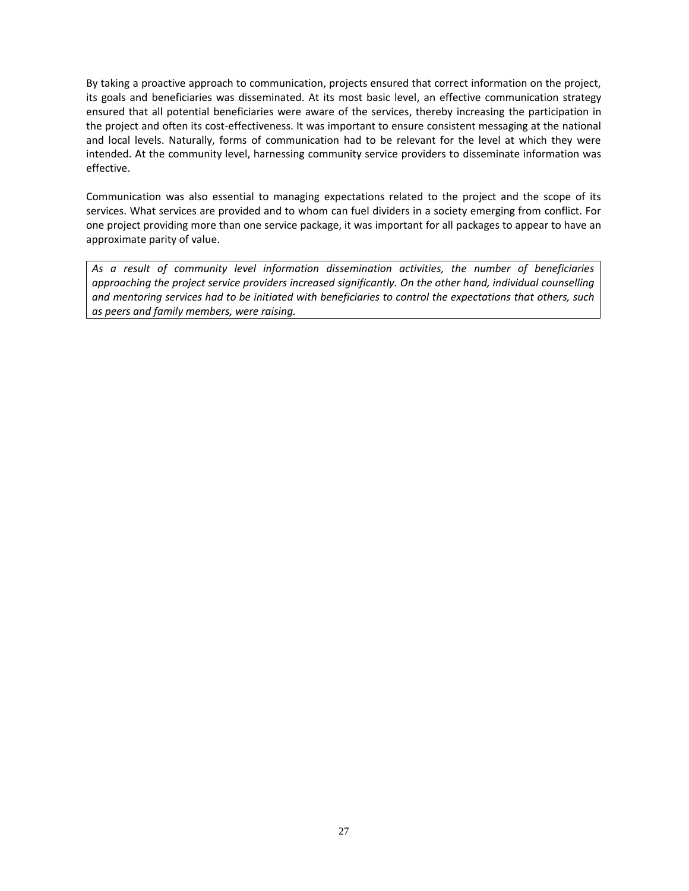By taking a proactive approach to communication, projects ensured that correct information on the project, its goals and beneficiaries was disseminated. At its most basic level, an effective communication strategy ensured that all potential beneficiaries were aware of the services, thereby increasing the participation in the project and often its cost-effectiveness. It was important to ensure consistent messaging at the national and local levels. Naturally, forms of communication had to be relevant for the level at which they were intended. At the community level, harnessing community service providers to disseminate information was effective.

Communication was also essential to managing expectations related to the project and the scope of its services. What services are provided and to whom can fuel dividers in a society emerging from conflict. For one project providing more than one service package, it was important for all packages to appear to have an approximate parity of value.

*As a result of community level information dissemination activities, the number of beneficiaries approaching the project service providers increased significantly. On the other hand, individual counselling and mentoring services had to be initiated with beneficiaries to control the expectations that others, such as peers and family members, were raising.*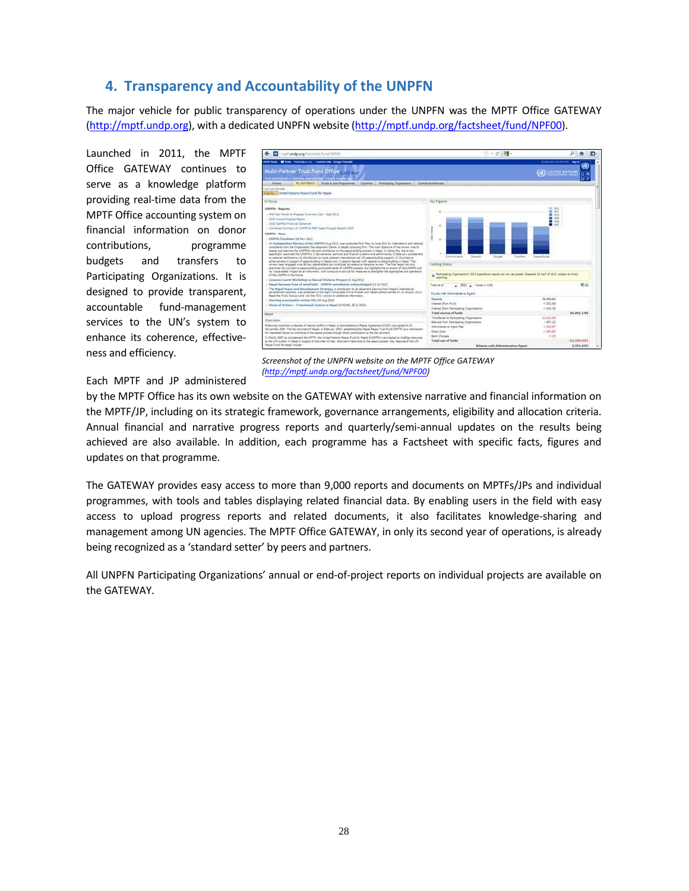# **4. Transparency and Accountability of the UNPFN**

The major vehicle for public transparency of operations under the UNPFN was the MPTF Office GATEWAY (http://mptf.undp.org), with a dedicated UNPFN website (http://mptf.undp.org/factsheet/fund/NPF00).

Launched in 2011, the MPTF  $\left[\frac{1}{2}\right]$ Office GATEWAY continues to serve as a knowledge platform providing real-time data from the MPTF Office accounting system on financial information on donor contributions, programme budgets and transfers to Participating Organizations. It is designed to provide transparent, accountable fund-management services to the UN's system to enhance its coherence, effective ness and efficiency.



*Screenshot of the UNPFN website on the MPTF Office GATEWAY (http://mptf.undp.org/factsheet/fund/NPF00)*

#### Each MPTF and JP administered

by the MPTF Office has its own website on the GATEWAY with extensive narrative and financial information on the MPTF/JP, including on its strategic framework, governance arrangements, eligibility and allocation criteria. Annual financial and narrative progress reports and quarterly/semi-annual updates on the results being achieved are also available. In addition, each programme has a Factsheet with specific facts, figures and updates on that programme.

The GATEWAY provides easy access to more than 9,000 reports and documents on MPTFs/JPs and individual programmes, with tools and tables displaying related financial data. By enabling users in the field with easy access to upload progress reports and related documents, it also facilitates knowledge-sharing and management among UN agencies. The MPTF Office GATEWAY, in only its second year of operations, is already being recognized as a 'standard setter' by peers and partners.

All UNPFN Participating Organizations' annual or end-of-project reports on individual projects are available on the GATEWAY.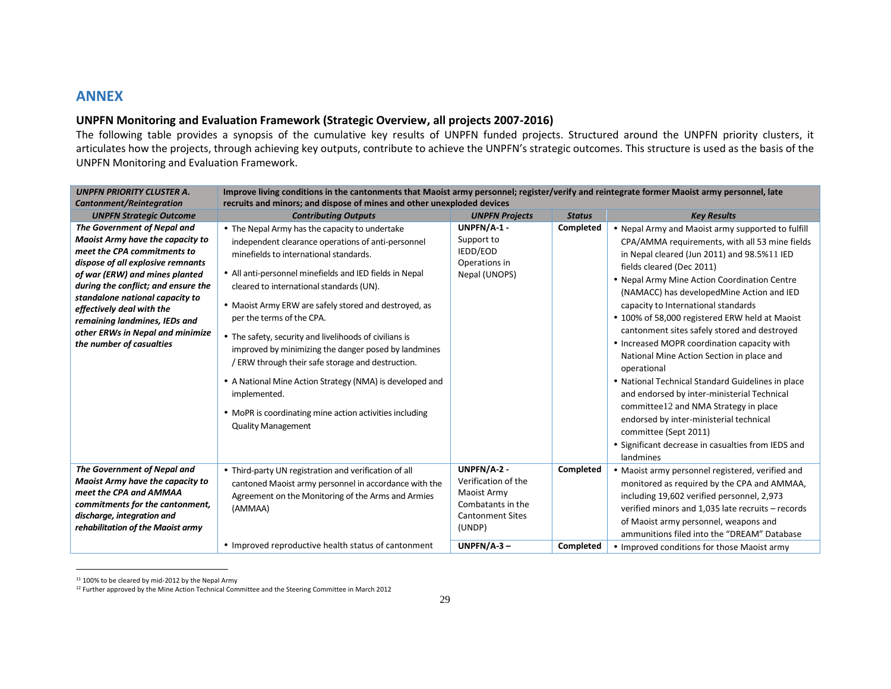# **ANNEX**

### **UNPFN Monitoring and Evaluation Framework (Strategic Overview, all projects 2007-2016)**

The following table provides a synopsis of the cumulative key results of UNPFN funded projects. Structured around the UNPFN priority clusters, it articulates how the projects, through achieving key outputs, contribute to achieve the UNPFN's strategic outcomes. This structure is used as the basis of the UNPFN Monitoring and Evaluation Framework.

| <b>UNPEN PRIORITY CLUSTER A.</b>                                                                                                                                                                                                                                                                                                                                                                                | Improve living conditions in the cantonments that Maoist army personnel; register/verify and reintegrate former Maoist army personnel, late                                                                                                                                                                                                                                                                                                                                                                                                                                                                                                                                                                           |                                                                                                             |                            |                                                                                                                                                                                                                                                                                                                                                                                                                                                                                                                                                                                                                                                                                                                                                                                                                                             |
|-----------------------------------------------------------------------------------------------------------------------------------------------------------------------------------------------------------------------------------------------------------------------------------------------------------------------------------------------------------------------------------------------------------------|-----------------------------------------------------------------------------------------------------------------------------------------------------------------------------------------------------------------------------------------------------------------------------------------------------------------------------------------------------------------------------------------------------------------------------------------------------------------------------------------------------------------------------------------------------------------------------------------------------------------------------------------------------------------------------------------------------------------------|-------------------------------------------------------------------------------------------------------------|----------------------------|---------------------------------------------------------------------------------------------------------------------------------------------------------------------------------------------------------------------------------------------------------------------------------------------------------------------------------------------------------------------------------------------------------------------------------------------------------------------------------------------------------------------------------------------------------------------------------------------------------------------------------------------------------------------------------------------------------------------------------------------------------------------------------------------------------------------------------------------|
| <b>Cantonment/Reintegration</b>                                                                                                                                                                                                                                                                                                                                                                                 | recruits and minors; and dispose of mines and other unexploded devices                                                                                                                                                                                                                                                                                                                                                                                                                                                                                                                                                                                                                                                |                                                                                                             |                            |                                                                                                                                                                                                                                                                                                                                                                                                                                                                                                                                                                                                                                                                                                                                                                                                                                             |
| <b>UNPFN Strategic Outcome</b><br>The Government of Nepal and<br>Maoist Army have the capacity to<br>meet the CPA commitments to<br>dispose of all explosive remnants<br>of war (ERW) and mines planted<br>during the conflict; and ensure the<br>standalone national capacity to<br>effectively deal with the<br>remaining landmines, IEDs and<br>other ERWs in Nepal and minimize<br>the number of casualties | <b>Contributing Outputs</b><br>• The Nepal Army has the capacity to undertake<br>independent clearance operations of anti-personnel<br>minefields to international standards.<br>• All anti-personnel minefields and IED fields in Nepal<br>cleared to international standards (UN).<br>• Maoist Army ERW are safely stored and destroyed, as<br>per the terms of the CPA.<br>• The safety, security and livelihoods of civilians is<br>improved by minimizing the danger posed by landmines<br>/ ERW through their safe storage and destruction.<br>• A National Mine Action Strategy (NMA) is developed and<br>implemented.<br>• MoPR is coordinating mine action activities including<br><b>Quality Management</b> | <b>UNPFN Projects</b><br>UNPFN/A-1 -<br>Support to<br>IEDD/EOD<br>Operations in<br>Nepal (UNOPS)            | <b>Status</b><br>Completed | <b>Key Results</b><br>• Nepal Army and Maoist army supported to fulfill<br>CPA/AMMA requirements, with all 53 mine fields<br>in Nepal cleared (Jun 2011) and 98.5%11 IED<br>fields cleared (Dec 2011)<br>• Nepal Army Mine Action Coordination Centre<br>(NAMACC) has developedMine Action and IED<br>capacity to International standards<br>• 100% of 58,000 registered ERW held at Maoist<br>cantonment sites safely stored and destroyed<br>• Increased MOPR coordination capacity with<br>National Mine Action Section in place and<br>operational<br>• National Technical Standard Guidelines in place<br>and endorsed by inter-ministerial Technical<br>committee 12 and NMA Strategy in place<br>endorsed by inter-ministerial technical<br>committee (Sept 2011)<br>• Significant decrease in casualties from IEDS and<br>landmines |
| The Government of Nepal and<br>Maoist Army have the capacity to<br>meet the CPA and AMMAA<br>commitments for the cantonment,<br>discharge, integration and<br>rehabilitation of the Maoist army                                                                                                                                                                                                                 | • Third-party UN registration and verification of all<br>cantoned Maoist army personnel in accordance with the<br>Agreement on the Monitoring of the Arms and Armies<br>(AMMAA)                                                                                                                                                                                                                                                                                                                                                                                                                                                                                                                                       | UNPFN/A-2 -<br>Verification of the<br>Maoist Army<br>Combatants in the<br><b>Cantonment Sites</b><br>(UNDP) | Completed                  | • Maoist army personnel registered, verified and<br>monitored as required by the CPA and AMMAA,<br>including 19,602 verified personnel, 2,973<br>verified minors and 1,035 late recruits - records<br>of Maoist army personnel, weapons and<br>ammunitions filed into the "DREAM" Database                                                                                                                                                                                                                                                                                                                                                                                                                                                                                                                                                  |
|                                                                                                                                                                                                                                                                                                                                                                                                                 | • Improved reproductive health status of cantonment                                                                                                                                                                                                                                                                                                                                                                                                                                                                                                                                                                                                                                                                   | $UNPFN/A-3-$                                                                                                | Completed                  | • Improved conditions for those Maoist army                                                                                                                                                                                                                                                                                                                                                                                                                                                                                                                                                                                                                                                                                                                                                                                                 |

<sup>&</sup>lt;sup>11</sup> 100% to be cleared by mid-2012 by the Nepal Army

<sup>&</sup>lt;sup>12</sup> Further approved by the Mine Action Technical Committee and the Steering Committee in March 2012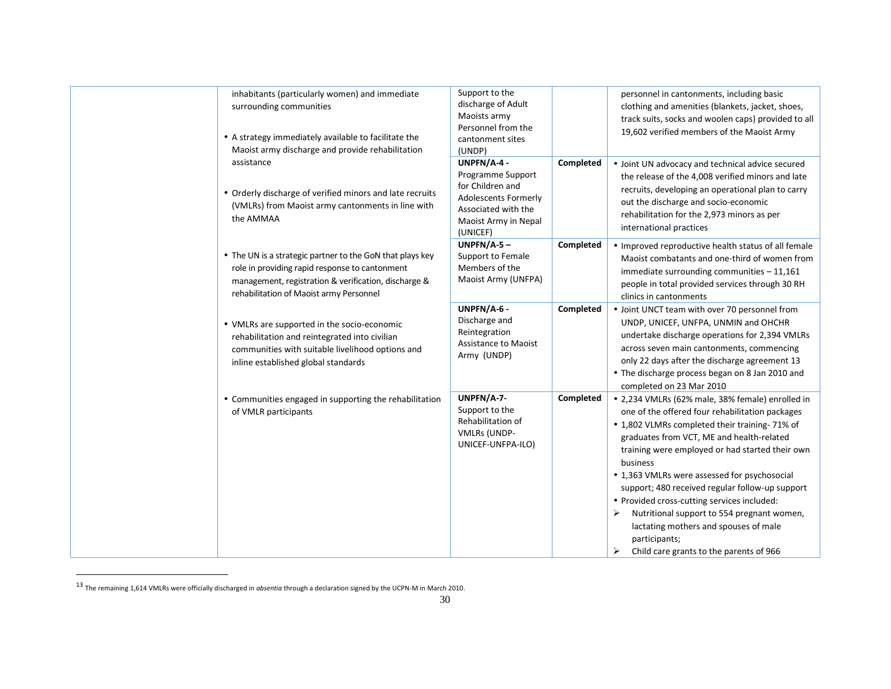| inhabitants (particularly women) and immediate<br>surrounding communities<br>• A strategy immediately available to facilitate the<br>Maoist army discharge and provide rehabilitation                          | Support to the<br>discharge of Adult<br>Maoists army<br>Personnel from the<br>cantonment sites<br>(UNDP)                                      |           | personnel in cantonments, including basic<br>clothing and amenities (blankets, jacket, shoes,<br>track suits, socks and woolen caps) provided to all<br>19,602 verified members of the Maoist Army                                                                                                                                                                                                                                                                                                                                                                              |
|----------------------------------------------------------------------------------------------------------------------------------------------------------------------------------------------------------------|-----------------------------------------------------------------------------------------------------------------------------------------------|-----------|---------------------------------------------------------------------------------------------------------------------------------------------------------------------------------------------------------------------------------------------------------------------------------------------------------------------------------------------------------------------------------------------------------------------------------------------------------------------------------------------------------------------------------------------------------------------------------|
| assistance<br>• Orderly discharge of verified minors and late recruits<br>(VMLRs) from Maoist army cantonments in line with<br>the AMMAA                                                                       | UNPFN/A-4-<br>Programme Support<br>for Children and<br><b>Adolescents Formerly</b><br>Associated with the<br>Maoist Army in Nepal<br>(UNICEF) | Completed | • Joint UN advocacy and technical advice secured<br>the release of the 4,008 verified minors and late<br>recruits, developing an operational plan to carry<br>out the discharge and socio-economic<br>rehabilitation for the 2,973 minors as per<br>international practices                                                                                                                                                                                                                                                                                                     |
| • The UN is a strategic partner to the GoN that plays key<br>role in providing rapid response to cantonment<br>management, registration & verification, discharge &<br>rehabilitation of Maoist army Personnel | $UNPFN/A-5-$<br>Support to Female<br>Members of the<br>Maoist Army (UNFPA)                                                                    | Completed | • Improved reproductive health status of all female<br>Maoist combatants and one-third of women from<br>immediate surrounding communities - 11,161<br>people in total provided services through 30 RH<br>clinics in cantonments                                                                                                                                                                                                                                                                                                                                                 |
| • VMLRs are supported in the socio-economic<br>rehabilitation and reintegrated into civilian<br>communities with suitable livelihood options and<br>inline established global standards                        | UNPFN/A-6 -<br>Discharge and<br>Reintegration<br>Assistance to Maoist<br>Army (UNDP)                                                          | Completed | • Joint UNCT team with over 70 personnel from<br>UNDP, UNICEF, UNFPA, UNMIN and OHCHR<br>undertake discharge operations for 2,394 VMLRs<br>across seven main cantonments, commencing<br>only 22 days after the discharge agreement 13<br>• The discharge process began on 8 Jan 2010 and<br>completed on 23 Mar 2010                                                                                                                                                                                                                                                            |
| • Communities engaged in supporting the rehabilitation<br>of VMLR participants                                                                                                                                 | UNPFN/A-7-<br>Support to the<br>Rehabilitation of<br><b>VMLRs (UNDP-</b><br>UNICEF-UNFPA-ILO)                                                 | Completed | • 2,234 VMLRs (62% male, 38% female) enrolled in<br>one of the offered four rehabilitation packages<br>• 1,802 VLMRs completed their training-71% of<br>graduates from VCT, ME and health-related<br>training were employed or had started their own<br>business<br>• 1,363 VMLRs were assessed for psychosocial<br>support; 480 received regular follow-up support<br>• Provided cross-cutting services included:<br>Nutritional support to 554 pregnant women,<br>⋗<br>lactating mothers and spouses of male<br>participants;<br>Child care grants to the parents of 966<br>➤ |

<sup>13</sup> The remaining 1,614 VMLRs were officially discharged in *absentia* through a declaration signed by the UCPN-M in March 2010.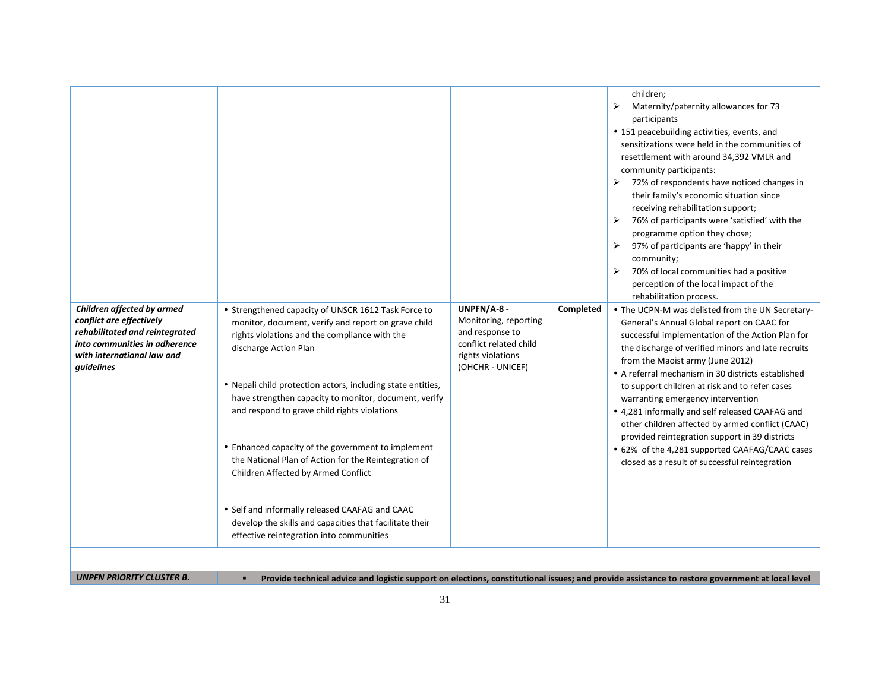| Children affected by armed                                                                                                              | • Strengthened capacity of UNSCR 1612 Task Force to                                                                                                                                                                                                                                                                                                                                                                                                                                                                                                                                                                 | UNPFN/A-8 -<br>Completed                                                                                    | children;<br>Maternity/paternity allowances for 73<br>➤<br>participants<br>• 151 peacebuilding activities, events, and<br>sensitizations were held in the communities of<br>resettlement with around 34,392 VMLR and<br>community participants:<br>$\triangleright$ 72% of respondents have noticed changes in<br>their family's economic situation since<br>receiving rehabilitation support;<br>76% of participants were 'satisfied' with the<br>➤<br>programme option they chose;<br>97% of participants are 'happy' in their<br>➤<br>community;<br>70% of local communities had a positive<br>➤<br>perception of the local impact of the<br>rehabilitation process.<br>• The UCPN-M was delisted from the UN Secretary- |
|-----------------------------------------------------------------------------------------------------------------------------------------|---------------------------------------------------------------------------------------------------------------------------------------------------------------------------------------------------------------------------------------------------------------------------------------------------------------------------------------------------------------------------------------------------------------------------------------------------------------------------------------------------------------------------------------------------------------------------------------------------------------------|-------------------------------------------------------------------------------------------------------------|-----------------------------------------------------------------------------------------------------------------------------------------------------------------------------------------------------------------------------------------------------------------------------------------------------------------------------------------------------------------------------------------------------------------------------------------------------------------------------------------------------------------------------------------------------------------------------------------------------------------------------------------------------------------------------------------------------------------------------|
| conflict are effectively<br>rehabilitated and reintegrated<br>into communities in adherence<br>with international law and<br>guidelines | monitor, document, verify and report on grave child<br>rights violations and the compliance with the<br>discharge Action Plan<br>• Nepali child protection actors, including state entities,<br>have strengthen capacity to monitor, document, verify<br>and respond to grave child rights violations<br>• Enhanced capacity of the government to implement<br>the National Plan of Action for the Reintegration of<br>Children Affected by Armed Conflict<br>• Self and informally released CAAFAG and CAAC<br>develop the skills and capacities that facilitate their<br>effective reintegration into communities | Monitoring, reporting<br>and response to<br>conflict related child<br>rights violations<br>(OHCHR - UNICEF) | General's Annual Global report on CAAC for<br>successful implementation of the Action Plan for<br>the discharge of verified minors and late recruits<br>from the Maoist army (June 2012)<br>• A referral mechanism in 30 districts established<br>to support children at risk and to refer cases<br>warranting emergency intervention<br>• 4,281 informally and self released CAAFAG and<br>other children affected by armed conflict (CAAC)<br>provided reintegration support in 39 districts<br>• 62% of the 4,281 supported CAAFAG/CAAC cases<br>closed as a result of successful reintegration                                                                                                                          |
| <b>UNPFN PRIORITY CLUSTER B.</b>                                                                                                        |                                                                                                                                                                                                                                                                                                                                                                                                                                                                                                                                                                                                                     |                                                                                                             | Provide technical advice and logistic support on elections, constitutional issues; and provide assistance to restore government at local level                                                                                                                                                                                                                                                                                                                                                                                                                                                                                                                                                                              |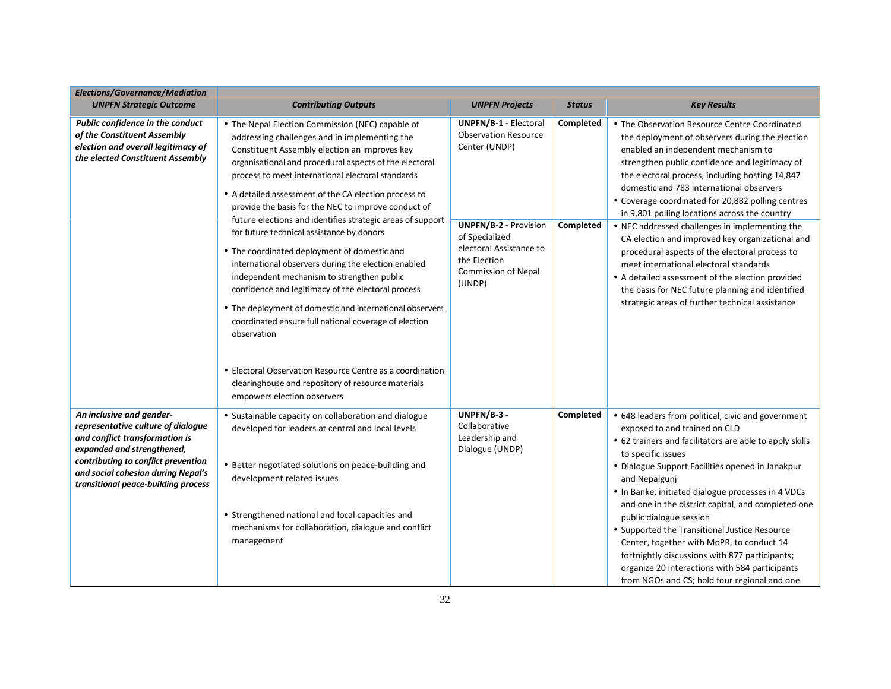| Elections/Governance/Mediation                                                                                                                                                                                                                     |                                                                                                                                                                                                                                                                                                                                                                                                                                                                                                                                                                                                                                                                                                                                                                                                                                                                                                                                                                                               |                                                                                                                                                                                                                   |                        |                                                                                                                                                                                                                                                                                                                                                                                                                                                                                                                                                                                                                                                                                                                                                            |
|----------------------------------------------------------------------------------------------------------------------------------------------------------------------------------------------------------------------------------------------------|-----------------------------------------------------------------------------------------------------------------------------------------------------------------------------------------------------------------------------------------------------------------------------------------------------------------------------------------------------------------------------------------------------------------------------------------------------------------------------------------------------------------------------------------------------------------------------------------------------------------------------------------------------------------------------------------------------------------------------------------------------------------------------------------------------------------------------------------------------------------------------------------------------------------------------------------------------------------------------------------------|-------------------------------------------------------------------------------------------------------------------------------------------------------------------------------------------------------------------|------------------------|------------------------------------------------------------------------------------------------------------------------------------------------------------------------------------------------------------------------------------------------------------------------------------------------------------------------------------------------------------------------------------------------------------------------------------------------------------------------------------------------------------------------------------------------------------------------------------------------------------------------------------------------------------------------------------------------------------------------------------------------------------|
| <b>UNPFN Strategic Outcome</b>                                                                                                                                                                                                                     | <b>Contributing Outputs</b>                                                                                                                                                                                                                                                                                                                                                                                                                                                                                                                                                                                                                                                                                                                                                                                                                                                                                                                                                                   | <b>UNPFN Projects</b>                                                                                                                                                                                             | <b>Status</b>          | <b>Key Results</b>                                                                                                                                                                                                                                                                                                                                                                                                                                                                                                                                                                                                                                                                                                                                         |
| Public confidence in the conduct<br>of the Constituent Assembly<br>election and overall legitimacy of<br>the elected Constituent Assembly                                                                                                          | • The Nepal Election Commission (NEC) capable of<br>addressing challenges and in implementing the<br>Constituent Assembly election an improves key<br>organisational and procedural aspects of the electoral<br>process to meet international electoral standards<br>• A detailed assessment of the CA election process to<br>provide the basis for the NEC to improve conduct of<br>future elections and identifies strategic areas of support<br>for future technical assistance by donors<br>• The coordinated deployment of domestic and<br>international observers during the election enabled<br>independent mechanism to strengthen public<br>confidence and legitimacy of the electoral process<br>• The deployment of domestic and international observers<br>coordinated ensure full national coverage of election<br>observation<br>• Electoral Observation Resource Centre as a coordination<br>clearinghouse and repository of resource materials<br>empowers election observers | <b>UNPFN/B-1 - Electoral</b><br><b>Observation Resource</b><br>Center (UNDP)<br><b>UNPFN/B-2 - Provision</b><br>of Specialized<br>electoral Assistance to<br>the Election<br><b>Commission of Nepal</b><br>(UNDP) | Completed<br>Completed | • The Observation Resource Centre Coordinated<br>the deployment of observers during the election<br>enabled an independent mechanism to<br>strengthen public confidence and legitimacy of<br>the electoral process, including hosting 14,847<br>domestic and 783 international observers<br>• Coverage coordinated for 20,882 polling centres<br>in 9,801 polling locations across the country<br>• NEC addressed challenges in implementing the<br>CA election and improved key organizational and<br>procedural aspects of the electoral process to<br>meet international electoral standards<br>• A detailed assessment of the election provided<br>the basis for NEC future planning and identified<br>strategic areas of further technical assistance |
| An inclusive and gender-<br>representative culture of dialogue<br>and conflict transformation is<br>expanded and strengthened,<br>contributing to conflict prevention<br>and social cohesion during Nepal's<br>transitional peace-building process | • Sustainable capacity on collaboration and dialogue<br>developed for leaders at central and local levels<br>• Better negotiated solutions on peace-building and<br>development related issues<br>• Strengthened national and local capacities and<br>mechanisms for collaboration, dialogue and conflict<br>management                                                                                                                                                                                                                                                                                                                                                                                                                                                                                                                                                                                                                                                                       | UNPFN/B-3 -<br>Collaborative<br>Leadership and<br>Dialogue (UNDP)                                                                                                                                                 | Completed              | • 648 leaders from political, civic and government<br>exposed to and trained on CLD<br>• 62 trainers and facilitators are able to apply skills<br>to specific issues<br>• Dialogue Support Facilities opened in Janakpur<br>and Nepalgunj<br>. In Banke, initiated dialogue processes in 4 VDCs<br>and one in the district capital, and completed one<br>public dialogue session<br>• Supported the Transitional Justice Resource<br>Center, together with MoPR, to conduct 14<br>fortnightly discussions with 877 participants;<br>organize 20 interactions with 584 participants<br>from NGOs and CS; hold four regional and one                                                                                                                         |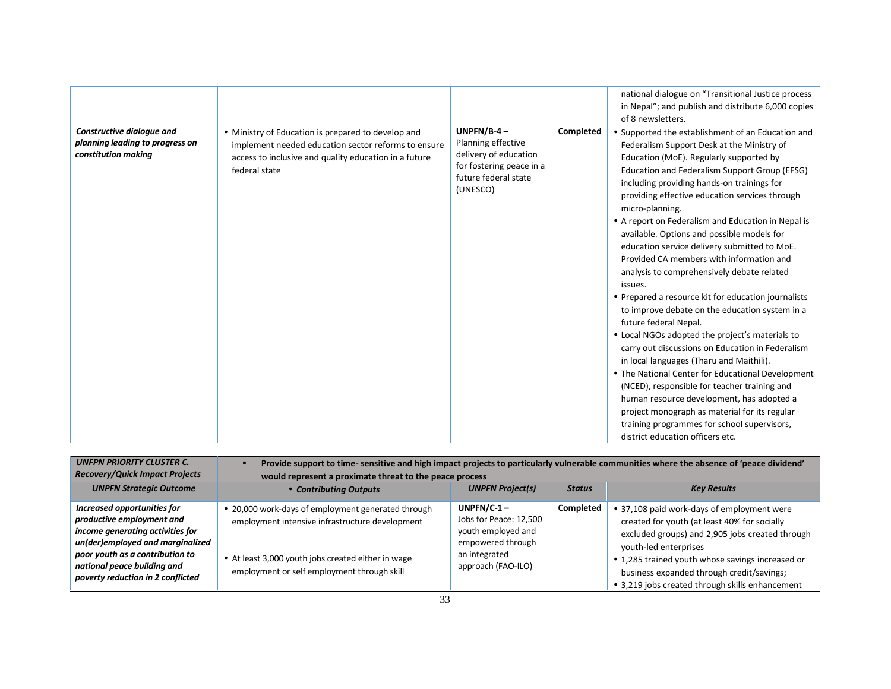|                                                                                     |                                                                                                                                                                                     |                                                                                                                              |           | national dialogue on "Transitional Justice process<br>in Nepal"; and publish and distribute 6,000 copies<br>of 8 newsletters.                                                                                                                                                                                                                                                                                                                                                                                                                                                                                                                                                                                                                                                                                                                                                                                                                                                                                                                                                                                                                      |
|-------------------------------------------------------------------------------------|-------------------------------------------------------------------------------------------------------------------------------------------------------------------------------------|------------------------------------------------------------------------------------------------------------------------------|-----------|----------------------------------------------------------------------------------------------------------------------------------------------------------------------------------------------------------------------------------------------------------------------------------------------------------------------------------------------------------------------------------------------------------------------------------------------------------------------------------------------------------------------------------------------------------------------------------------------------------------------------------------------------------------------------------------------------------------------------------------------------------------------------------------------------------------------------------------------------------------------------------------------------------------------------------------------------------------------------------------------------------------------------------------------------------------------------------------------------------------------------------------------------|
| Constructive dialogue and<br>planning leading to progress on<br>constitution making | • Ministry of Education is prepared to develop and<br>implement needed education sector reforms to ensure<br>access to inclusive and quality education in a future<br>federal state | UNPFN/B-4 $-$<br>Planning effective<br>delivery of education<br>for fostering peace in a<br>future federal state<br>(UNESCO) | Completed | • Supported the establishment of an Education and<br>Federalism Support Desk at the Ministry of<br>Education (MoE). Regularly supported by<br>Education and Federalism Support Group (EFSG)<br>including providing hands-on trainings for<br>providing effective education services through<br>micro-planning.<br>• A report on Federalism and Education in Nepal is<br>available. Options and possible models for<br>education service delivery submitted to MoE.<br>Provided CA members with information and<br>analysis to comprehensively debate related<br>issues.<br>• Prepared a resource kit for education journalists<br>to improve debate on the education system in a<br>future federal Nepal.<br>• Local NGOs adopted the project's materials to<br>carry out discussions on Education in Federalism<br>in local languages (Tharu and Maithili).<br>• The National Center for Educational Development<br>(NCED), responsible for teacher training and<br>human resource development, has adopted a<br>project monograph as material for its regular<br>training programmes for school supervisors,<br>district education officers etc. |

| <b>UNFPN PRIORITY CLUSTER C.</b><br><b>Recovery/Quick Impact Projects</b>                                                                                                                                                               | Provide support to time-sensitive and high impact projects to particularly vulnerable communities where the absence of 'peace dividend'<br>would represent a proximate threat to the peace process         |                                                                                                                           |               |                                                                                                                                                                                                                                                                                                                            |
|-----------------------------------------------------------------------------------------------------------------------------------------------------------------------------------------------------------------------------------------|------------------------------------------------------------------------------------------------------------------------------------------------------------------------------------------------------------|---------------------------------------------------------------------------------------------------------------------------|---------------|----------------------------------------------------------------------------------------------------------------------------------------------------------------------------------------------------------------------------------------------------------------------------------------------------------------------------|
| <b>UNPFN Strategic Outcome</b>                                                                                                                                                                                                          | • Contributing Outputs                                                                                                                                                                                     | <b>UNPFN Project(s)</b>                                                                                                   | <b>Status</b> | <b>Key Results</b>                                                                                                                                                                                                                                                                                                         |
| Increased opportunities for<br>productive employment and<br>income generating activities for<br>un(der)employed and marginalized<br>poor youth as a contribution to<br>national peace building and<br>poverty reduction in 2 conflicted | • 20,000 work-days of employment generated through<br>employment intensive infrastructure development<br>• At least 3,000 youth jobs created either in wage<br>employment or self employment through skill | UNPFN/C-1 $-$<br>Jobs for Peace: 12,500<br>youth employed and<br>empowered through<br>an integrated<br>approach (FAO-ILO) | Completed     | • 37,108 paid work-days of employment were<br>created for youth (at least 40% for socially<br>excluded groups) and 2,905 jobs created through<br>youth-led enterprises<br>• 1,285 trained youth whose savings increased or<br>business expanded through credit/savings;<br>• 3,219 jobs created through skills enhancement |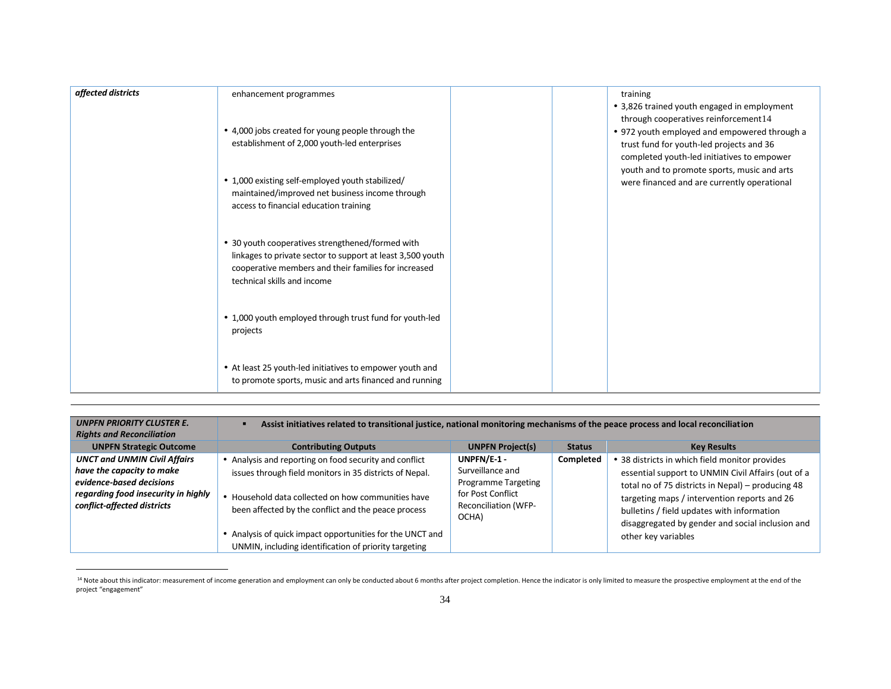| affected districts | enhancement programmes                                                                                                                                                                                | training<br>• 3,826 trained youth engaged in employment<br>through cooperatives reinforcement14                                        |
|--------------------|-------------------------------------------------------------------------------------------------------------------------------------------------------------------------------------------------------|----------------------------------------------------------------------------------------------------------------------------------------|
|                    | • 4,000 jobs created for young people through the<br>establishment of 2,000 youth-led enterprises                                                                                                     | • 972 youth employed and empowered through a<br>trust fund for youth-led projects and 36<br>completed youth-led initiatives to empower |
|                    | • 1,000 existing self-employed youth stabilized/<br>maintained/improved net business income through<br>access to financial education training                                                         | youth and to promote sports, music and arts<br>were financed and are currently operational                                             |
|                    | • 30 youth cooperatives strengthened/formed with<br>linkages to private sector to support at least 3,500 youth<br>cooperative members and their families for increased<br>technical skills and income |                                                                                                                                        |
|                    | • 1,000 youth employed through trust fund for youth-led<br>projects                                                                                                                                   |                                                                                                                                        |
|                    | • At least 25 youth-led initiatives to empower youth and<br>to promote sports, music and arts financed and running                                                                                    |                                                                                                                                        |

| <b>UNPFN PRIORITY CLUSTER E.</b><br><b>Rights and Reconciliation</b>                                                                                               | Assist initiatives related to transitional justice, national monitoring mechanisms of the peace process and local reconciliation                                                                                                                                                            |                                                                                                                     |               |                                                                                                                                                                                                                                                                                                                                    |
|--------------------------------------------------------------------------------------------------------------------------------------------------------------------|---------------------------------------------------------------------------------------------------------------------------------------------------------------------------------------------------------------------------------------------------------------------------------------------|---------------------------------------------------------------------------------------------------------------------|---------------|------------------------------------------------------------------------------------------------------------------------------------------------------------------------------------------------------------------------------------------------------------------------------------------------------------------------------------|
| <b>UNPFN Strategic Outcome</b>                                                                                                                                     | <b>Contributing Outputs</b>                                                                                                                                                                                                                                                                 | <b>UNPFN Project(s)</b>                                                                                             | <b>Status</b> | <b>Key Results</b>                                                                                                                                                                                                                                                                                                                 |
| <b>UNCT and UNMIN Civil Affairs</b><br>have the capacity to make<br>evidence-based decisions<br>regarding food insecurity in highly<br>conflict-affected districts | • Analysis and reporting on food security and conflict<br>issues through field monitors in 35 districts of Nepal.<br>• Household data collected on how communities have<br>been affected by the conflict and the peace process<br>• Analysis of quick impact opportunities for the UNCT and | UNPFN/E-1 -<br>Surveillance and<br>Programme Targeting<br>for Post Conflict<br><b>Reconciliation (WFP-</b><br>OCHA) | Completed     | • 38 districts in which field monitor provides<br>essential support to UNMIN Civil Affairs (out of a<br>total no of 75 districts in Nepal) - producing 48<br>targeting maps / intervention reports and 26<br>bulletins / field updates with information<br>disaggregated by gender and social inclusion and<br>other key variables |
|                                                                                                                                                                    | UNMIN, including identification of priority targeting                                                                                                                                                                                                                                       |                                                                                                                     |               |                                                                                                                                                                                                                                                                                                                                    |

<sup>&</sup>lt;sup>14</sup> Note about this indicator: measurement of income generation and employment can only be conducted about 6 months after project completion. Hence the indicator is only limited to measure the prospective employment at th project "engagement"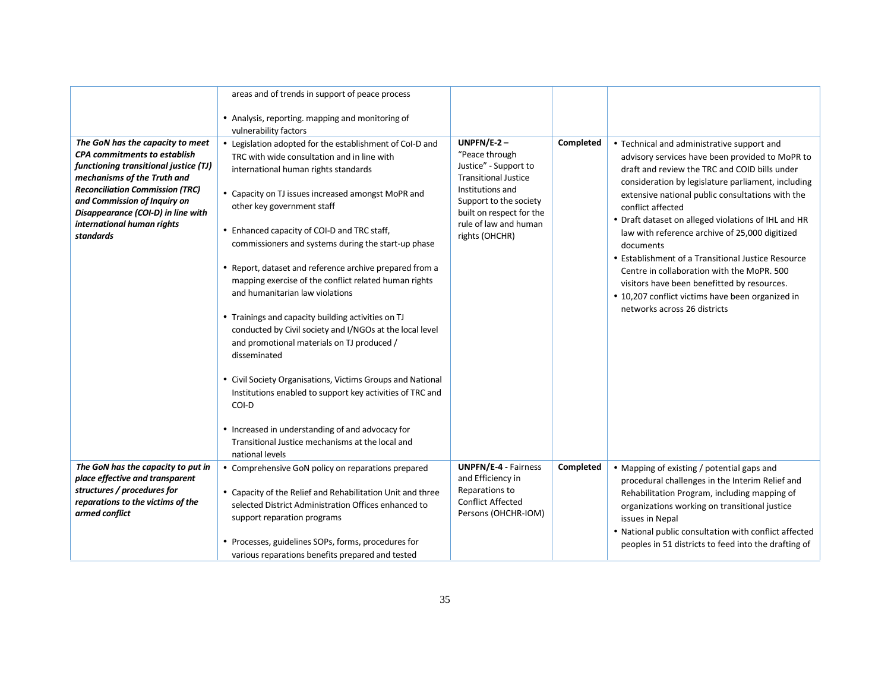|                                                                                                                                                                                                                                                                                                                   | areas and of trends in support of peace process                                                                                                                                                                                                                                                                                                                                                                                                                                                                                                                                                                                                                                                                                                                                                                                                                                                                                                 |                                                                                                                                                                                                             |           |                                                                                                                                                                                                                                                                                                                                                                                                                                                                                                                                                                                                                                            |
|-------------------------------------------------------------------------------------------------------------------------------------------------------------------------------------------------------------------------------------------------------------------------------------------------------------------|-------------------------------------------------------------------------------------------------------------------------------------------------------------------------------------------------------------------------------------------------------------------------------------------------------------------------------------------------------------------------------------------------------------------------------------------------------------------------------------------------------------------------------------------------------------------------------------------------------------------------------------------------------------------------------------------------------------------------------------------------------------------------------------------------------------------------------------------------------------------------------------------------------------------------------------------------|-------------------------------------------------------------------------------------------------------------------------------------------------------------------------------------------------------------|-----------|--------------------------------------------------------------------------------------------------------------------------------------------------------------------------------------------------------------------------------------------------------------------------------------------------------------------------------------------------------------------------------------------------------------------------------------------------------------------------------------------------------------------------------------------------------------------------------------------------------------------------------------------|
|                                                                                                                                                                                                                                                                                                                   | • Analysis, reporting. mapping and monitoring of<br>vulnerability factors                                                                                                                                                                                                                                                                                                                                                                                                                                                                                                                                                                                                                                                                                                                                                                                                                                                                       |                                                                                                                                                                                                             |           |                                                                                                                                                                                                                                                                                                                                                                                                                                                                                                                                                                                                                                            |
| The GoN has the capacity to meet<br><b>CPA commitments to establish</b><br>functioning transitional justice (TJ)<br>mechanisms of the Truth and<br><b>Reconciliation Commission (TRC)</b><br>and Commission of Inquiry on<br>Disappearance (COI-D) in line with<br>international human rights<br><b>standards</b> | • Legislation adopted for the establishment of CoI-D and<br>TRC with wide consultation and in line with<br>international human rights standards<br>• Capacity on TJ issues increased amongst MoPR and<br>other key government staff<br>• Enhanced capacity of COI-D and TRC staff,<br>commissioners and systems during the start-up phase<br>• Report, dataset and reference archive prepared from a<br>mapping exercise of the conflict related human rights<br>and humanitarian law violations<br>• Trainings and capacity building activities on TJ<br>conducted by Civil society and I/NGOs at the local level<br>and promotional materials on TJ produced /<br>disseminated<br>• Civil Society Organisations, Victims Groups and National<br>Institutions enabled to support key activities of TRC and<br>COI-D<br>• Increased in understanding of and advocacy for<br>Transitional Justice mechanisms at the local and<br>national levels | $UNPFN/E-2-$<br>"Peace through<br>Justice" - Support to<br><b>Transitional Justice</b><br>Institutions and<br>Support to the society<br>built on respect for the<br>rule of law and human<br>rights (OHCHR) | Completed | • Technical and administrative support and<br>advisory services have been provided to MoPR to<br>draft and review the TRC and COID bills under<br>consideration by legislature parliament, including<br>extensive national public consultations with the<br>conflict affected<br>• Draft dataset on alleged violations of IHL and HR<br>law with reference archive of 25,000 digitized<br>documents<br>• Establishment of a Transitional Justice Resource<br>Centre in collaboration with the MoPR, 500<br>visitors have been benefitted by resources.<br>• 10,207 conflict victims have been organized in<br>networks across 26 districts |
| The GoN has the capacity to put in<br>place effective and transparent<br>structures / procedures for<br>reparations to the victims of the<br>armed conflict                                                                                                                                                       | • Comprehensive GoN policy on reparations prepared<br>• Capacity of the Relief and Rehabilitation Unit and three<br>selected District Administration Offices enhanced to<br>support reparation programs<br>• Processes, guidelines SOPs, forms, procedures for<br>various reparations benefits prepared and tested                                                                                                                                                                                                                                                                                                                                                                                                                                                                                                                                                                                                                              | <b>UNPFN/E-4 - Fairness</b><br>and Efficiency in<br>Reparations to<br><b>Conflict Affected</b><br>Persons (OHCHR-IOM)                                                                                       | Completed | • Mapping of existing / potential gaps and<br>procedural challenges in the Interim Relief and<br>Rehabilitation Program, including mapping of<br>organizations working on transitional justice<br>issues in Nepal<br>• National public consultation with conflict affected<br>peoples in 51 districts to feed into the drafting of                                                                                                                                                                                                                                                                                                         |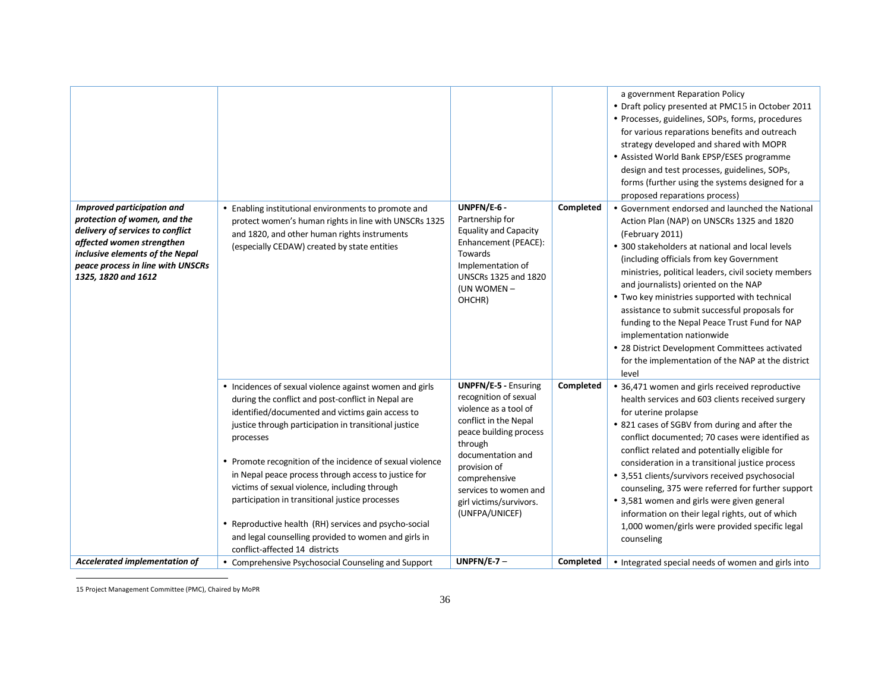| Improved participation and<br>protection of women, and the<br>delivery of services to conflict<br>affected women strengthen<br>inclusive elements of the Nepal<br>peace process in line with UNSCRs<br>1325, 1820 and 1612 | • Enabling institutional environments to promote and<br>protect women's human rights in line with UNSCRs 1325<br>and 1820, and other human rights instruments<br>(especially CEDAW) created by state entities                                                                                                                                                                                                                                                                                                                                                                     | UNPFN/E-6 -<br>Partnership for<br><b>Equality and Capacity</b><br>Enhancement (PEACE):<br>Towards<br>Implementation of<br><b>UNSCRs 1325 and 1820</b><br>(UN WOMEN -<br>OHCHR)                                                                                          | Completed | a government Reparation Policy<br>• Draft policy presented at PMC15 in October 2011<br>• Processes, guidelines, SOPs, forms, procedures<br>for various reparations benefits and outreach<br>strategy developed and shared with MOPR<br>• Assisted World Bank EPSP/ESES programme<br>design and test processes, guidelines, SOPs,<br>forms (further using the systems designed for a<br>proposed reparations process)<br>• Government endorsed and launched the National<br>Action Plan (NAP) on UNSCRs 1325 and 1820<br>(February 2011)<br>• 300 stakeholders at national and local levels<br>(including officials from key Government<br>ministries, political leaders, civil society members<br>and journalists) oriented on the NAP<br>• Two key ministries supported with technical<br>assistance to submit successful proposals for<br>funding to the Nepal Peace Trust Fund for NAP<br>implementation nationwide<br>• 28 District Development Committees activated<br>for the implementation of the NAP at the district<br>level |
|----------------------------------------------------------------------------------------------------------------------------------------------------------------------------------------------------------------------------|-----------------------------------------------------------------------------------------------------------------------------------------------------------------------------------------------------------------------------------------------------------------------------------------------------------------------------------------------------------------------------------------------------------------------------------------------------------------------------------------------------------------------------------------------------------------------------------|-------------------------------------------------------------------------------------------------------------------------------------------------------------------------------------------------------------------------------------------------------------------------|-----------|----------------------------------------------------------------------------------------------------------------------------------------------------------------------------------------------------------------------------------------------------------------------------------------------------------------------------------------------------------------------------------------------------------------------------------------------------------------------------------------------------------------------------------------------------------------------------------------------------------------------------------------------------------------------------------------------------------------------------------------------------------------------------------------------------------------------------------------------------------------------------------------------------------------------------------------------------------------------------------------------------------------------------------------|
|                                                                                                                                                                                                                            | • Incidences of sexual violence against women and girls<br>during the conflict and post-conflict in Nepal are<br>identified/documented and victims gain access to<br>justice through participation in transitional justice<br>processes<br>• Promote recognition of the incidence of sexual violence<br>in Nepal peace process through access to justice for<br>victims of sexual violence, including through<br>participation in transitional justice processes<br>• Reproductive health (RH) services and psycho-social<br>and legal counselling provided to women and girls in | <b>UNPFN/E-5 - Ensuring</b><br>recognition of sexual<br>violence as a tool of<br>conflict in the Nepal<br>peace building process<br>through<br>documentation and<br>provision of<br>comprehensive<br>services to women and<br>girl victims/survivors.<br>(UNFPA/UNICEF) | Completed | • 36,471 women and girls received reproductive<br>health services and 603 clients received surgery<br>for uterine prolapse<br>• 821 cases of SGBV from during and after the<br>conflict documented; 70 cases were identified as<br>conflict related and potentially eligible for<br>consideration in a transitional justice process<br>• 3,551 clients/survivors received psychosocial<br>counseling, 375 were referred for further support<br>• 3,581 women and girls were given general<br>information on their legal rights, out of which<br>1,000 women/girls were provided specific legal<br>counseling                                                                                                                                                                                                                                                                                                                                                                                                                           |
| Accelerated implementation of                                                                                                                                                                                              | conflict-affected 14 districts<br>• Comprehensive Psychosocial Counseling and Support                                                                                                                                                                                                                                                                                                                                                                                                                                                                                             | UNPFN/E-7 $-$                                                                                                                                                                                                                                                           | Completed | • Integrated special needs of women and girls into                                                                                                                                                                                                                                                                                                                                                                                                                                                                                                                                                                                                                                                                                                                                                                                                                                                                                                                                                                                     |

15 Project Management Committee (PMC), Chaired by MoPR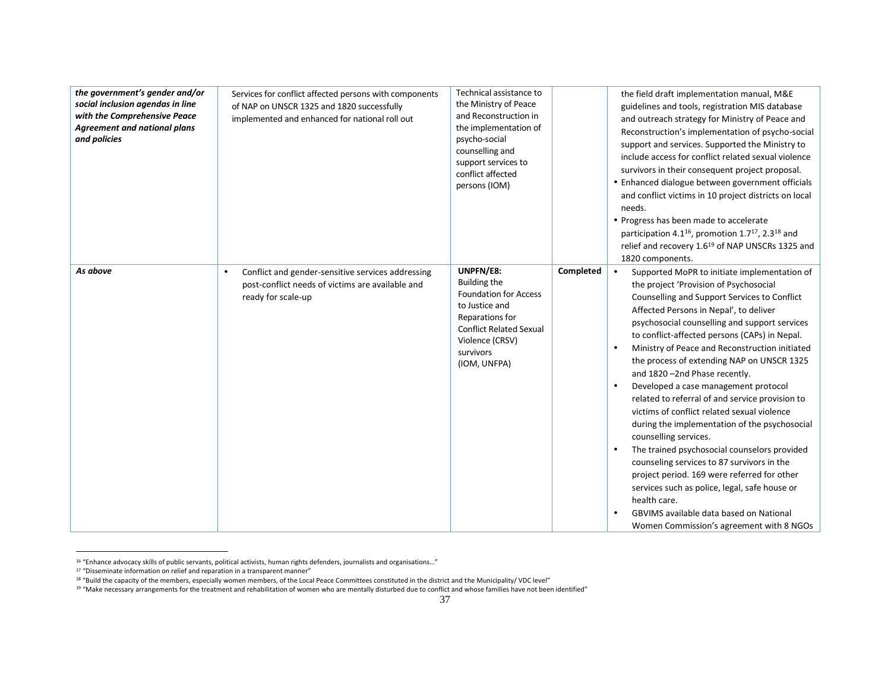| the government's gender and/or<br>social inclusion agendas in line<br>with the Comprehensive Peace<br><b>Agreement and national plans</b><br>and policies | Services for conflict affected persons with components<br>of NAP on UNSCR 1325 and 1820 successfully<br>implemented and enhanced for national roll out | Technical assistance to<br>the Ministry of Peace<br>and Reconstruction in<br>the implementation of<br>psycho-social<br>counselling and<br>support services to<br>conflict affected<br>persons (IOM) |           | the field draft implementation manual, M&E<br>guidelines and tools, registration MIS database<br>and outreach strategy for Ministry of Peace and<br>Reconstruction's implementation of psycho-social<br>support and services. Supported the Ministry to<br>include access for conflict related sexual violence<br>survivors in their consequent project proposal.<br>• Enhanced dialogue between government officials<br>and conflict victims in 10 project districts on local<br>needs.<br>• Progress has been made to accelerate<br>participation 4.1 <sup>16</sup> , promotion 1.7 <sup>17</sup> , 2.3 <sup>18</sup> and<br>relief and recovery 1.6 <sup>19</sup> of NAP UNSCRs 1325 and<br>1820 components.                                                                                                                                                                                                                                                                            |
|-----------------------------------------------------------------------------------------------------------------------------------------------------------|--------------------------------------------------------------------------------------------------------------------------------------------------------|-----------------------------------------------------------------------------------------------------------------------------------------------------------------------------------------------------|-----------|--------------------------------------------------------------------------------------------------------------------------------------------------------------------------------------------------------------------------------------------------------------------------------------------------------------------------------------------------------------------------------------------------------------------------------------------------------------------------------------------------------------------------------------------------------------------------------------------------------------------------------------------------------------------------------------------------------------------------------------------------------------------------------------------------------------------------------------------------------------------------------------------------------------------------------------------------------------------------------------------|
| As above                                                                                                                                                  | Conflict and gender-sensitive services addressing<br>$\bullet$<br>post-conflict needs of victims are available and<br>ready for scale-up               | UNPFN/E8:<br>Building the<br><b>Foundation for Access</b><br>to Justice and<br>Reparations for<br><b>Conflict Related Sexual</b><br>Violence (CRSV)<br>survivors<br>(IOM, UNFPA)                    | Completed | Supported MoPR to initiate implementation of<br>$\bullet$<br>the project 'Provision of Psychosocial<br>Counselling and Support Services to Conflict<br>Affected Persons in Nepal', to deliver<br>psychosocial counselling and support services<br>to conflict-affected persons (CAPs) in Nepal.<br>Ministry of Peace and Reconstruction initiated<br>$\bullet$<br>the process of extending NAP on UNSCR 1325<br>and 1820 -2nd Phase recently.<br>Developed a case management protocol<br>$\bullet$<br>related to referral of and service provision to<br>victims of conflict related sexual violence<br>during the implementation of the psychosocial<br>counselling services.<br>The trained psychosocial counselors provided<br>counseling services to 87 survivors in the<br>project period. 169 were referred for other<br>services such as police, legal, safe house or<br>health care.<br><b>GBVIMS</b> available data based on National<br>Women Commission's agreement with 8 NGOs |

<sup>16</sup> "Enhance advocacy skills of public servants, political activists, human rights defenders, journalists and organisations…"

 $17$  "Disseminate information on relief and reparation in a transparent manner"

<sup>&</sup>lt;sup>18</sup> "Build the capacity of the members, especially women members, of the Local Peace Committees constituted in the district and the Municipality/ VDC level"

<sup>&</sup>lt;sup>19</sup> "Make necessary arrangements for the treatment and rehabilitation of women who are mentally disturbed due to conflict and whose families have not been identified"